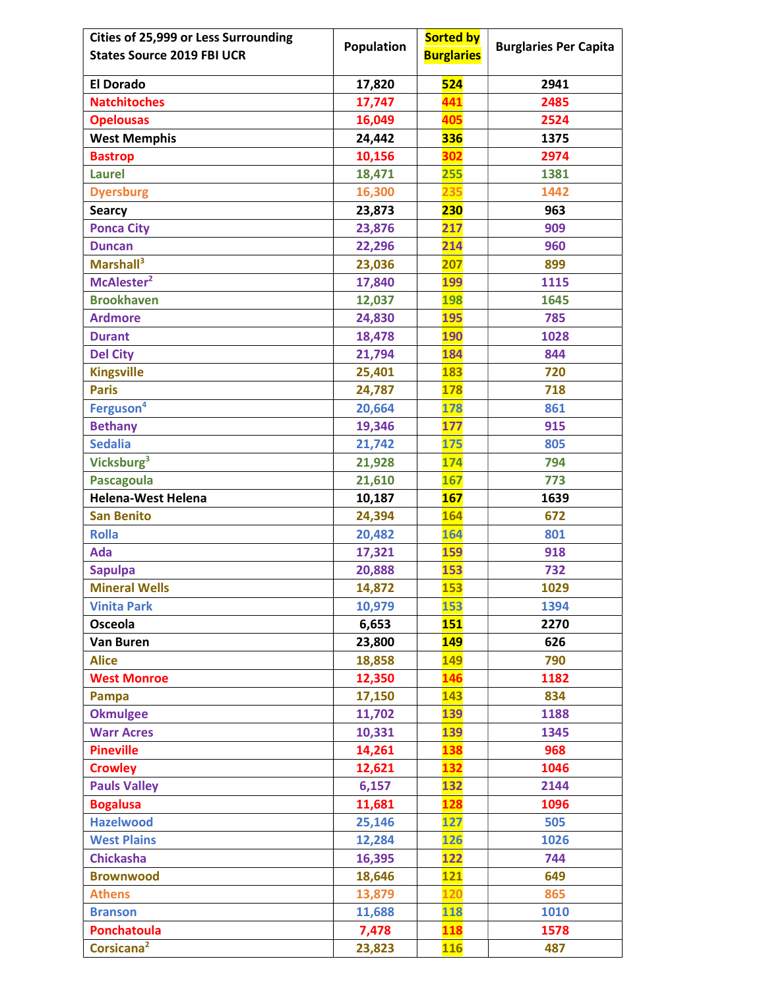| Cities of 25,999 or Less Surrounding | <b>Population</b> | <b>Sorted by</b>  | <b>Burglaries Per Capita</b> |
|--------------------------------------|-------------------|-------------------|------------------------------|
| <b>States Source 2019 FBI UCR</b>    |                   | <b>Burglaries</b> |                              |
| <b>El Dorado</b>                     | 17,820            | 524               | 2941                         |
| <b>Natchitoches</b>                  | 17,747            | 441               | 2485                         |
| <b>Opelousas</b>                     | 16,049            | 405               | 2524                         |
| <b>West Memphis</b>                  | 24,442            | 336               | 1375                         |
| <b>Bastrop</b>                       | 10,156            | 302               | 2974                         |
| <b>Laurel</b>                        | 18,471            | 255               | 1381                         |
| <b>Dyersburg</b>                     | 16,300            | 235               | 1442                         |
| <b>Searcy</b>                        | 23,873            | 230               | 963                          |
| <b>Ponca City</b>                    | 23,876            | 217               | 909                          |
| <b>Duncan</b>                        | 22,296            | 214               | 960                          |
| Marshall <sup>3</sup>                | 23,036            | 207               | 899                          |
| McAlester <sup>2</sup>               | 17,840            | 199               | 1115                         |
| <b>Brookhaven</b>                    | 12,037            | <b>198</b>        | 1645                         |
| <b>Ardmore</b>                       | 24,830            | 195               | 785                          |
| <b>Durant</b>                        | 18,478            | <b>190</b>        | 1028                         |
| <b>Del City</b>                      | 21,794            | 184               | 844                          |
| <b>Kingsville</b>                    | 25,401            | 183               | 720                          |
| <b>Paris</b>                         | 24,787            | 178               | 718                          |
| Ferguson <sup>4</sup>                | 20,664            | 178               | 861                          |
| <b>Bethany</b>                       | 19,346            | 177               | 915                          |
| <b>Sedalia</b>                       | 21,742            | 175               | 805                          |
| Vicksburg <sup>3</sup>               | 21,928            | 174               | 794                          |
| <b>Pascagoula</b>                    | 21,610            | <b>167</b>        | 773                          |
| <b>Helena-West Helena</b>            | 10,187            | <b>167</b>        | 1639                         |
| <b>San Benito</b>                    | 24,394            | 164               | 672                          |
| <b>Rolla</b>                         | 20,482            | 164               | 801                          |
| Ada                                  | 17,321            | 159               | 918                          |
| <b>Sapulpa</b>                       | 20,888            | <b>153</b>        | 732                          |
| <b>Mineral Wells</b>                 | 14,872            | <b>153</b>        | 1029                         |
| <b>Vinita Park</b>                   | 10,979            | <b>153</b>        | 1394                         |
| Osceola                              | 6,653             | <b>151</b>        | 2270                         |
| <b>Van Buren</b>                     | 23,800            | 149               | 626                          |
| <b>Alice</b>                         | 18,858            | 149               | 790                          |
| <b>West Monroe</b>                   | 12,350            | 146               | 1182                         |
| Pampa                                | 17,150            | 143               | 834                          |
| <b>Okmulgee</b>                      | 11,702            | 139               | 1188                         |
| <b>Warr Acres</b>                    | 10,331            | 139               | 1345                         |
| <b>Pineville</b>                     | 14,261            | 138               | 968                          |
| <b>Crowley</b>                       | 12,621            | 132               | 1046                         |
| <b>Pauls Valley</b>                  | 6,157             | 132               | 2144                         |
| <b>Bogalusa</b>                      | 11,681            | <b>128</b>        | 1096                         |
| <b>Hazelwood</b>                     | 25,146            | 127               | 505                          |
| <b>West Plains</b>                   | 12,284            | <b>126</b>        | 1026                         |
| <b>Chickasha</b>                     | 16,395            | 122               | 744                          |
| <b>Brownwood</b>                     | 18,646            | <b>121</b>        | 649                          |
| <b>Athens</b>                        | 13,879            | 120               | 865                          |
| <b>Branson</b>                       | 11,688            | 118               | 1010                         |
| Ponchatoula                          | 7,478             | 118               | 1578                         |
| Corsicana <sup>2</sup>               | 23,823            | <b>116</b>        | 487                          |
|                                      |                   |                   |                              |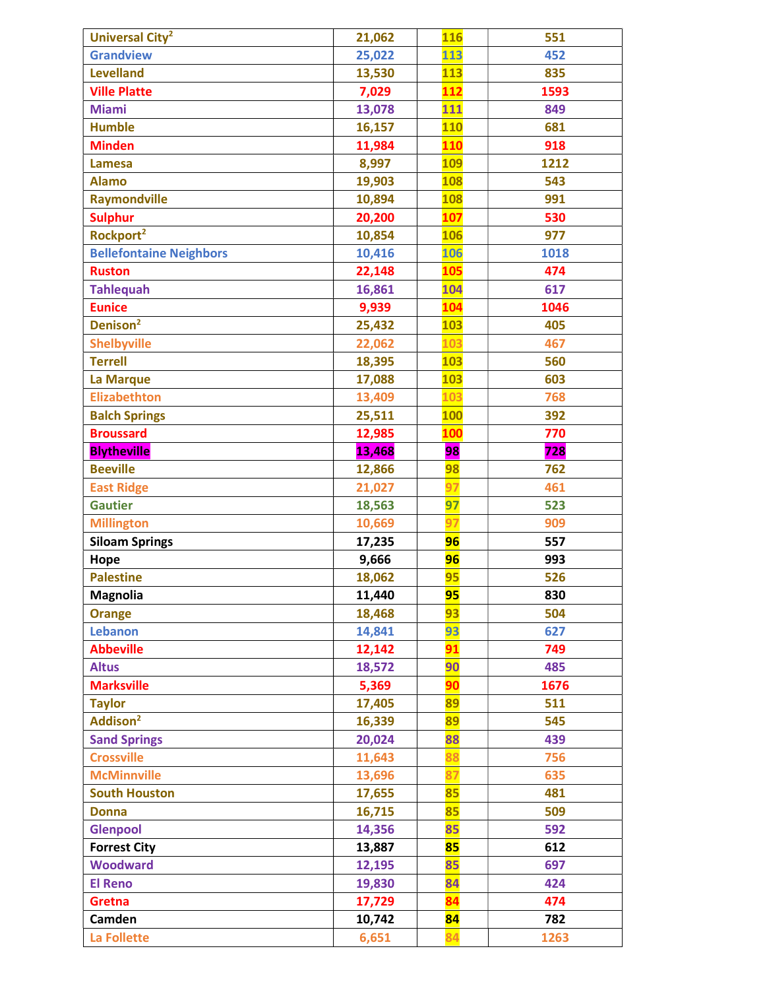| Universal City <sup>2</sup>    | 21,062 | <b>116</b> | 551  |
|--------------------------------|--------|------------|------|
| <b>Grandview</b>               | 25,022 | 113        | 452  |
| <b>Levelland</b>               | 13,530 | 113        | 835  |
| <b>Ville Platte</b>            | 7,029  | 112        | 1593 |
| <b>Miami</b>                   | 13,078 | 111        | 849  |
| <b>Humble</b>                  | 16,157 | <b>110</b> | 681  |
| <b>Minden</b>                  | 11,984 | <b>110</b> | 918  |
| <b>Lamesa</b>                  | 8,997  | <b>109</b> | 1212 |
| <b>Alamo</b>                   | 19,903 | <b>108</b> | 543  |
| <b>Raymondville</b>            | 10,894 | <b>108</b> | 991  |
| <b>Sulphur</b>                 | 20,200 | 107        | 530  |
| Rockport <sup>2</sup>          | 10,854 | 106        | 977  |
| <b>Bellefontaine Neighbors</b> | 10,416 | <b>106</b> | 1018 |
| <b>Ruston</b>                  | 22,148 | 105        | 474  |
| <b>Tahlequah</b>               | 16,861 | 104        | 617  |
| <b>Eunice</b>                  | 9,939  | 104        | 1046 |
| Denison <sup>2</sup>           | 25,432 | <b>103</b> | 405  |
| <b>Shelbyville</b>             | 22,062 | 103        | 467  |
| <b>Terrell</b>                 | 18,395 | <b>103</b> | 560  |
| La Marque                      | 17,088 | <b>103</b> | 603  |
| <b>Elizabethton</b>            | 13,409 | 103        | 768  |
| <b>Balch Springs</b>           | 25,511 | <b>100</b> | 392  |
| <b>Broussard</b>               | 12,985 | 100        | 770  |
| <b>Blytheville</b>             | 13,468 | 98         | 728  |
| <b>Beeville</b>                | 12,866 | 98         | 762  |
| <b>East Ridge</b>              | 21,027 | 97         | 461  |
| <b>Gautier</b>                 | 18,563 | 97         | 523  |
| <b>Millington</b>              | 10,669 | 97         | 909  |
| <b>Siloam Springs</b>          | 17,235 | 96         | 557  |
| Hope                           | 9,666  | 96         | 993  |
| <b>Palestine</b>               | 18,062 | 95         | 526  |
| <b>Magnolia</b>                | 11,440 | 95         | 830  |
| <b>Orange</b>                  | 18,468 | 93         | 504  |
| <b>Lebanon</b>                 | 14,841 | 93         | 627  |
| <b>Abbeville</b>               | 12,142 | 91         | 749  |
| <b>Altus</b>                   | 18,572 | 90         | 485  |
| <b>Marksville</b>              | 5,369  | 90         | 1676 |
| <b>Taylor</b>                  | 17,405 | 89         | 511  |
| Addison <sup>2</sup>           | 16,339 | 89         | 545  |
| <b>Sand Springs</b>            | 20,024 | 88         | 439  |
| <b>Crossville</b>              | 11,643 | 88         | 756  |
| <b>McMinnville</b>             | 13,696 | 87         | 635  |
| <b>South Houston</b>           | 17,655 | 85         | 481  |
| <b>Donna</b>                   | 16,715 | 85         | 509  |
| <b>Glenpool</b>                | 14,356 | 85         | 592  |
| <b>Forrest City</b>            | 13,887 | 85         | 612  |
| <b>Woodward</b>                | 12,195 | 85         | 697  |
| <b>El Reno</b>                 | 19,830 | 84         | 424  |
| Gretna                         | 17,729 | 84         | 474  |
| Camden                         | 10,742 | 84         | 782  |
| La Follette                    | 6,651  | 84         | 1263 |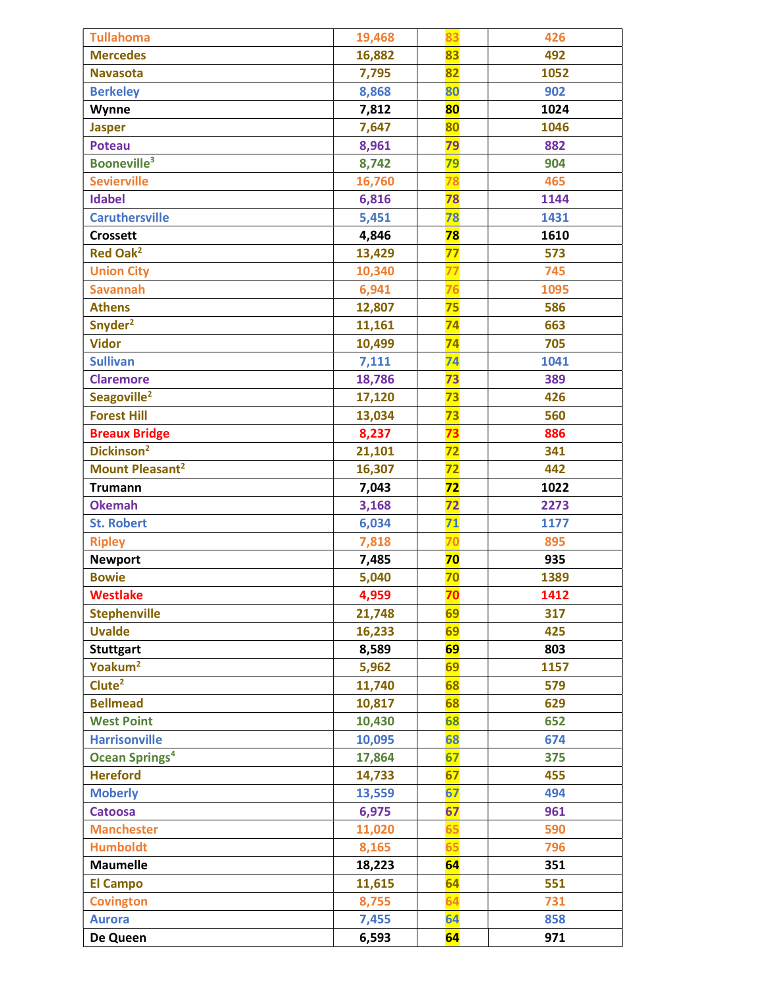| <b>Tullahoma</b>                 | 19,468 | 83              | 426  |
|----------------------------------|--------|-----------------|------|
| <b>Mercedes</b>                  | 16,882 | 83              | 492  |
| <b>Navasota</b>                  | 7,795  | 82              | 1052 |
| <b>Berkeley</b>                  | 8,868  | 80              | 902  |
| Wynne                            | 7,812  | 80              | 1024 |
| <b>Jasper</b>                    | 7,647  | 80              | 1046 |
| <b>Poteau</b>                    | 8,961  | 79              | 882  |
| <b>Booneville<sup>3</sup></b>    | 8,742  | 79              | 904  |
| <b>Sevierville</b>               | 16,760 | 78              | 465  |
| <b>Idabel</b>                    | 6,816  | 78              | 1144 |
| <b>Caruthersville</b>            | 5,451  | 78              | 1431 |
| <b>Crossett</b>                  | 4,846  | 78              | 1610 |
| <b>Red Oak<sup>2</sup></b>       | 13,429 | 77              | 573  |
| <b>Union City</b>                | 10,340 | 77              | 745  |
| <b>Savannah</b>                  | 6,941  | 76              | 1095 |
| <b>Athens</b>                    | 12,807 | 75              | 586  |
| Snyder <sup>2</sup>              | 11,161 | 74              | 663  |
| <b>Vidor</b>                     | 10,499 | $\overline{74}$ | 705  |
| <b>Sullivan</b>                  | 7,111  | 74              | 1041 |
| <b>Claremore</b>                 | 18,786 | 73              | 389  |
| Seagoville <sup>2</sup>          | 17,120 | 73              | 426  |
| <b>Forest Hill</b>               | 13,034 | 73              | 560  |
| <b>Breaux Bridge</b>             | 8,237  | 73              | 886  |
| Dickinson <sup>2</sup>           | 21,101 | 72              | 341  |
| Mount Pleasant <sup>2</sup>      | 16,307 | 72              | 442  |
| <b>Trumann</b>                   | 7,043  | 72              | 1022 |
| <b>Okemah</b>                    | 3,168  | 72              | 2273 |
| <b>St. Robert</b>                | 6,034  | 71              | 1177 |
| <b>Ripley</b>                    | 7,818  | 70              | 895  |
| <b>Newport</b>                   | 7,485  | 70              | 935  |
| <b>Bowie</b>                     | 5,040  | 70              | 1389 |
| <b>Westlake</b>                  | 4,959  | 70              | 1412 |
| <b>Stephenville</b>              | 21,748 | 69              | 317  |
| <b>Uvalde</b>                    | 16,233 | 69              | 425  |
| <b>Stuttgart</b>                 | 8,589  | 69              | 803  |
| Yoakum <sup>2</sup>              | 5,962  | 69              | 1157 |
| Clute <sup>2</sup>               | 11,740 | 68              | 579  |
| <b>Bellmead</b>                  | 10,817 | 68              | 629  |
| <b>West Point</b>                | 10,430 | 68              | 652  |
| <b>Harrisonville</b>             | 10,095 | 68              | 674  |
| <b>Ocean Springs<sup>4</sup></b> | 17,864 | 67              | 375  |
| <b>Hereford</b>                  | 14,733 | 67              | 455  |
| <b>Moberly</b>                   | 13,559 | 67              | 494  |
| <b>Catoosa</b>                   | 6,975  | 67              | 961  |
| <b>Manchester</b>                | 11,020 | 65              | 590  |
| <b>Humboldt</b>                  | 8,165  | 65              | 796  |
| <b>Maumelle</b>                  | 18,223 | 64              | 351  |
| <b>El Campo</b>                  | 11,615 | 64              | 551  |
| <b>Covington</b>                 | 8,755  | 64              | 731  |
| <b>Aurora</b>                    | 7,455  | 64              | 858  |
| De Queen                         | 6,593  | 64              | 971  |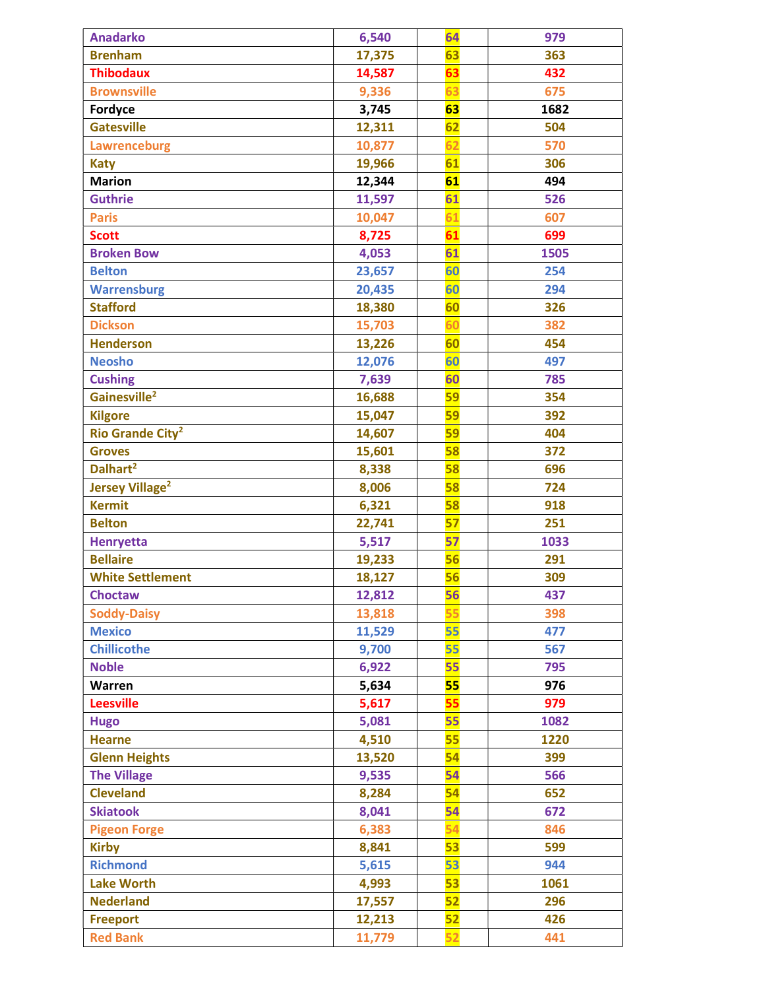| <b>Anadarko</b>                    | 6,540  | 64 | 979  |
|------------------------------------|--------|----|------|
| <b>Brenham</b>                     | 17,375 | 63 | 363  |
| <b>Thibodaux</b>                   | 14,587 | 63 | 432  |
| <b>Brownsville</b>                 | 9,336  | 63 | 675  |
| Fordyce                            | 3,745  | 63 | 1682 |
| <b>Gatesville</b>                  | 12,311 | 62 | 504  |
| Lawrenceburg                       | 10,877 | 62 | 570  |
| <b>Katy</b>                        | 19,966 | 61 | 306  |
| <b>Marion</b>                      | 12,344 | 61 | 494  |
| <b>Guthrie</b>                     | 11,597 | 61 | 526  |
| <b>Paris</b>                       | 10,047 | 61 | 607  |
| <b>Scott</b>                       | 8,725  | 61 | 699  |
| <b>Broken Bow</b>                  | 4,053  | 61 | 1505 |
| <b>Belton</b>                      | 23,657 | 60 | 254  |
| <b>Warrensburg</b>                 | 20,435 | 60 | 294  |
| <b>Stafford</b>                    | 18,380 | 60 | 326  |
| <b>Dickson</b>                     | 15,703 | 60 | 382  |
| <b>Henderson</b>                   | 13,226 | 60 | 454  |
| <b>Neosho</b>                      | 12,076 | 60 | 497  |
| <b>Cushing</b>                     | 7,639  | 60 | 785  |
| Gainesville <sup>2</sup>           | 16,688 | 59 | 354  |
| <b>Kilgore</b>                     | 15,047 | 59 | 392  |
| <b>Rio Grande City<sup>2</sup></b> | 14,607 | 59 | 404  |
| <b>Groves</b>                      | 15,601 | 58 | 372  |
| Dalhart <sup>2</sup>               | 8,338  | 58 | 696  |
| <b>Jersey Village<sup>2</sup></b>  | 8,006  | 58 | 724  |
| <b>Kermit</b>                      | 6,321  | 58 | 918  |
| <b>Belton</b>                      | 22,741 | 57 | 251  |
| <b>Henryetta</b>                   | 5,517  | 57 | 1033 |
| <b>Bellaire</b>                    | 19,233 | 56 | 291  |
| <b>White Settlement</b>            | 18,127 | 56 | 309  |
| <b>Choctaw</b>                     | 12,812 | 56 | 437  |
| <b>Soddy-Daisy</b>                 | 13,818 | 55 | 398  |
| <b>Mexico</b>                      | 11,529 | 55 | 477  |
| <b>Chillicothe</b>                 | 9,700  | 55 | 567  |
| <b>Noble</b>                       | 6,922  | 55 | 795  |
| Warren                             | 5,634  | 55 | 976  |
| <b>Leesville</b>                   | 5,617  | 55 | 979  |
| <b>Hugo</b>                        | 5,081  | 55 | 1082 |
| <b>Hearne</b>                      | 4,510  | 55 | 1220 |
| <b>Glenn Heights</b>               | 13,520 | 54 | 399  |
| <b>The Village</b>                 | 9,535  | 54 | 566  |
| <b>Cleveland</b>                   | 8,284  | 54 | 652  |
| <b>Skiatook</b>                    | 8,041  | 54 | 672  |
| <b>Pigeon Forge</b>                | 6,383  | 54 | 846  |
| <b>Kirby</b>                       | 8,841  | 53 | 599  |
| <b>Richmond</b>                    | 5,615  | 53 | 944  |
| <b>Lake Worth</b>                  | 4,993  | 53 | 1061 |
| <b>Nederland</b>                   | 17,557 | 52 | 296  |
| <b>Freeport</b>                    | 12,213 | 52 | 426  |
| <b>Red Bank</b>                    | 11,779 | 52 | 441  |
|                                    |        |    |      |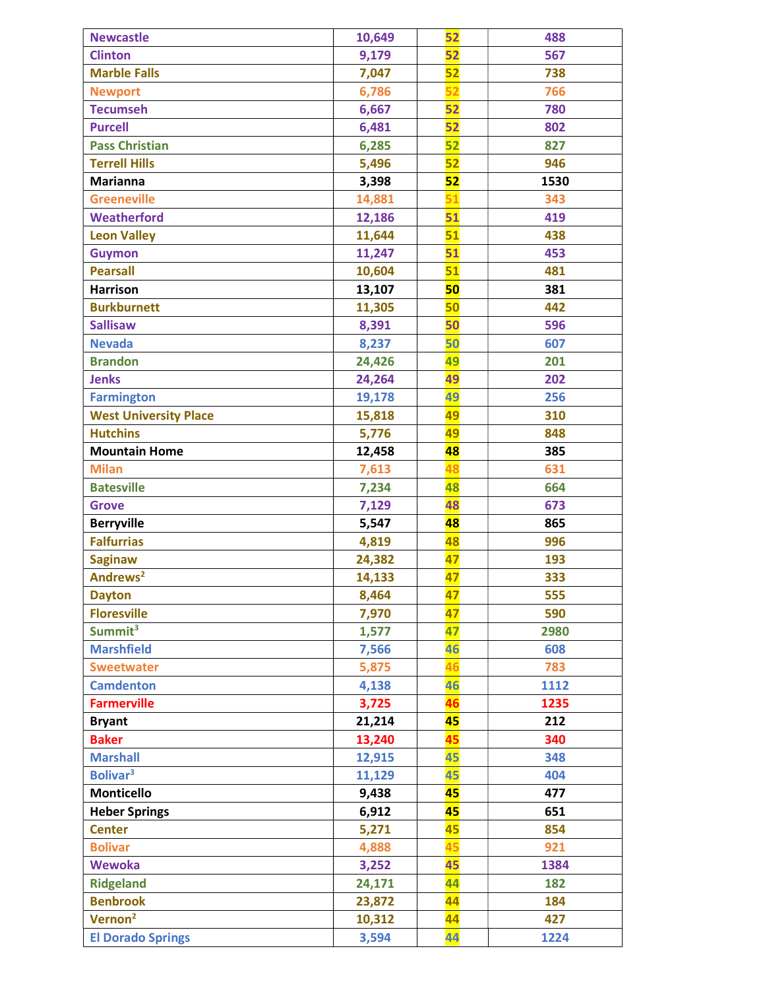| <b>Newcastle</b>             | 10,649 | 52 | 488  |
|------------------------------|--------|----|------|
| <b>Clinton</b>               | 9,179  | 52 | 567  |
| <b>Marble Falls</b>          | 7,047  | 52 | 738  |
| <b>Newport</b>               | 6,786  | 52 | 766  |
| <b>Tecumseh</b>              | 6,667  | 52 | 780  |
| <b>Purcell</b>               | 6,481  | 52 | 802  |
| <b>Pass Christian</b>        | 6,285  | 52 | 827  |
| <b>Terrell Hills</b>         | 5,496  | 52 | 946  |
| <b>Marianna</b>              | 3,398  | 52 | 1530 |
| <b>Greeneville</b>           | 14,881 | 51 | 343  |
| Weatherford                  | 12,186 | 51 | 419  |
| <b>Leon Valley</b>           | 11,644 | 51 | 438  |
| <b>Guymon</b>                | 11,247 | 51 | 453  |
| <b>Pearsall</b>              | 10,604 | 51 | 481  |
| <b>Harrison</b>              | 13,107 | 50 | 381  |
| <b>Burkburnett</b>           | 11,305 | 50 | 442  |
| <b>Sallisaw</b>              | 8,391  | 50 | 596  |
| <b>Nevada</b>                | 8,237  | 50 | 607  |
| <b>Brandon</b>               | 24,426 | 49 | 201  |
| <b>Jenks</b>                 | 24,264 | 49 | 202  |
| <b>Farmington</b>            | 19,178 | 49 | 256  |
| <b>West University Place</b> | 15,818 | 49 | 310  |
| <b>Hutchins</b>              | 5,776  | 49 | 848  |
| <b>Mountain Home</b>         | 12,458 | 48 | 385  |
| <b>Milan</b>                 | 7,613  | 48 | 631  |
| <b>Batesville</b>            | 7,234  | 48 | 664  |
| <b>Grove</b>                 | 7,129  | 48 | 673  |
| <b>Berryville</b>            | 5,547  | 48 | 865  |
| <b>Falfurrias</b>            | 4,819  | 48 | 996  |
| <b>Saginaw</b>               | 24,382 | 47 | 193  |
| Andrews <sup>2</sup>         | 14,133 | 47 | 333  |
| <b>Dayton</b>                | 8,464  | 47 | 555  |
| <b>Floresville</b>           | 7,970  | 47 | 590  |
| Summit <sup>3</sup>          | 1,577  | 47 | 2980 |
| <b>Marshfield</b>            | 7,566  | 46 | 608  |
| <b>Sweetwater</b>            | 5,875  | 46 | 783  |
| <b>Camdenton</b>             | 4,138  | 46 | 1112 |
| <b>Farmerville</b>           | 3,725  | 46 | 1235 |
| <b>Bryant</b>                | 21,214 | 45 | 212  |
| <b>Baker</b>                 | 13,240 | 45 | 340  |
| <b>Marshall</b>              | 12,915 | 45 | 348  |
| <b>Bolivar</b> <sup>3</sup>  | 11,129 | 45 | 404  |
| <b>Monticello</b>            | 9,438  | 45 | 477  |
| <b>Heber Springs</b>         | 6,912  | 45 | 651  |
| <b>Center</b>                | 5,271  | 45 | 854  |
| <b>Bolivar</b>               | 4,888  | 45 | 921  |
| <b>Wewoka</b>                | 3,252  | 45 | 1384 |
| <b>Ridgeland</b>             | 24,171 | 44 | 182  |
| <b>Benbrook</b>              | 23,872 | 44 | 184  |
| Vernon <sup>2</sup>          | 10,312 | 44 | 427  |
| <b>El Dorado Springs</b>     | 3,594  | 44 | 1224 |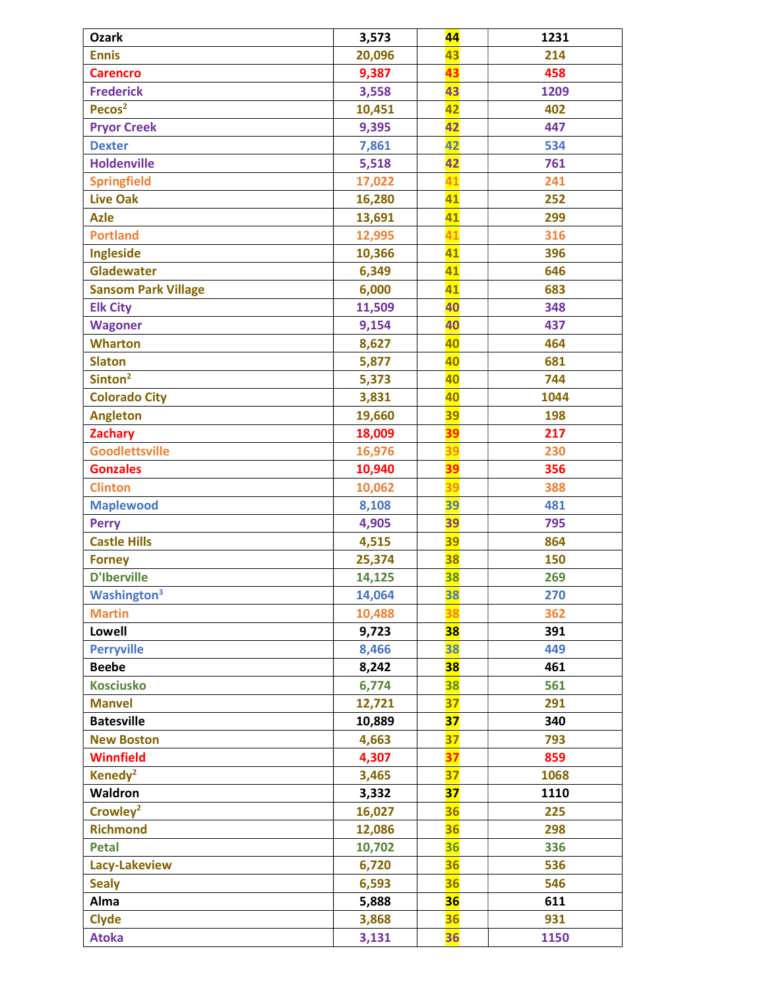| <b>Ozark</b>                   | 3,573  | 44        | 1231 |
|--------------------------------|--------|-----------|------|
| <b>Ennis</b>                   | 20,096 | 43        | 214  |
| <b>Carencro</b>                | 9,387  | 43        | 458  |
| <b>Frederick</b>               | 3,558  | 43        | 1209 |
| Pecos <sup>2</sup>             | 10,451 | 42        | 402  |
| <b>Pryor Creek</b>             | 9,395  | 42        | 447  |
| <b>Dexter</b>                  | 7,861  | 42        | 534  |
| <b>Holdenville</b>             | 5,518  | 42        | 761  |
| <b>Springfield</b>             | 17,022 | 41        | 241  |
| <b>Live Oak</b>                | 16,280 | 41        | 252  |
| <b>Azle</b>                    | 13,691 | 41        | 299  |
| <b>Portland</b>                | 12,995 | 41        | 316  |
| Ingleside                      | 10,366 | 41        | 396  |
| <b>Gladewater</b>              | 6,349  | 41        | 646  |
| <b>Sansom Park Village</b>     | 6,000  | 41        | 683  |
| <b>Elk City</b>                | 11,509 | 40        | 348  |
| <b>Wagoner</b>                 | 9,154  | 40        | 437  |
| <b>Wharton</b>                 | 8,627  | 40        | 464  |
| <b>Slaton</b>                  | 5,877  | 40        | 681  |
| Sinton <sup>2</sup>            | 5,373  | 40        | 744  |
| <b>Colorado City</b>           | 3,831  | 40        | 1044 |
| <b>Angleton</b>                | 19,660 | 39        | 198  |
| <b>Zachary</b>                 | 18,009 | <b>39</b> | 217  |
| <b>Goodlettsville</b>          | 16,976 | 39        | 230  |
| <b>Gonzales</b>                | 10,940 | 39        | 356  |
| <b>Clinton</b>                 | 10,062 | 39        | 388  |
| <b>Maplewood</b>               | 8,108  | 39        | 481  |
| <b>Perry</b>                   | 4,905  | 39        | 795  |
| <b>Castle Hills</b>            | 4,515  | 39        | 864  |
| <b>Forney</b>                  | 25,374 | 38        | 150  |
| <b>D'Iberville</b>             | 14,125 | 38        | 269  |
| <b>Washington</b> <sup>3</sup> | 14,064 | 38        | 270  |
| <b>Martin</b>                  | 10,488 | 38        | 362  |
| <b>Lowell</b>                  | 9,723  | 38        | 391  |
| <b>Perryville</b>              | 8,466  | 38        | 449  |
| <b>Beebe</b>                   | 8,242  | 38        | 461  |
| <b>Kosciusko</b>               | 6,774  | 38        | 561  |
| <b>Manvel</b>                  | 12,721 | 37        | 291  |
| <b>Batesville</b>              | 10,889 | 37        | 340  |
| <b>New Boston</b>              | 4,663  | 37        | 793  |
| <b>Winnfield</b>               | 4,307  | 37        | 859  |
| Kenedy <sup>2</sup>            | 3,465  | 37        | 1068 |
| Waldron                        | 3,332  | 37        | 1110 |
| Crowley <sup>2</sup>           | 16,027 | 36        | 225  |
| <b>Richmond</b>                | 12,086 | 36        | 298  |
| <b>Petal</b>                   | 10,702 | 36        | 336  |
| Lacy-Lakeview                  | 6,720  | 36        | 536  |
| <b>Sealy</b>                   | 6,593  | 36        | 546  |
| Alma                           | 5,888  | 36        | 611  |
| <b>Clyde</b>                   | 3,868  | 36        | 931  |
| <b>Atoka</b>                   | 3,131  | 36        | 1150 |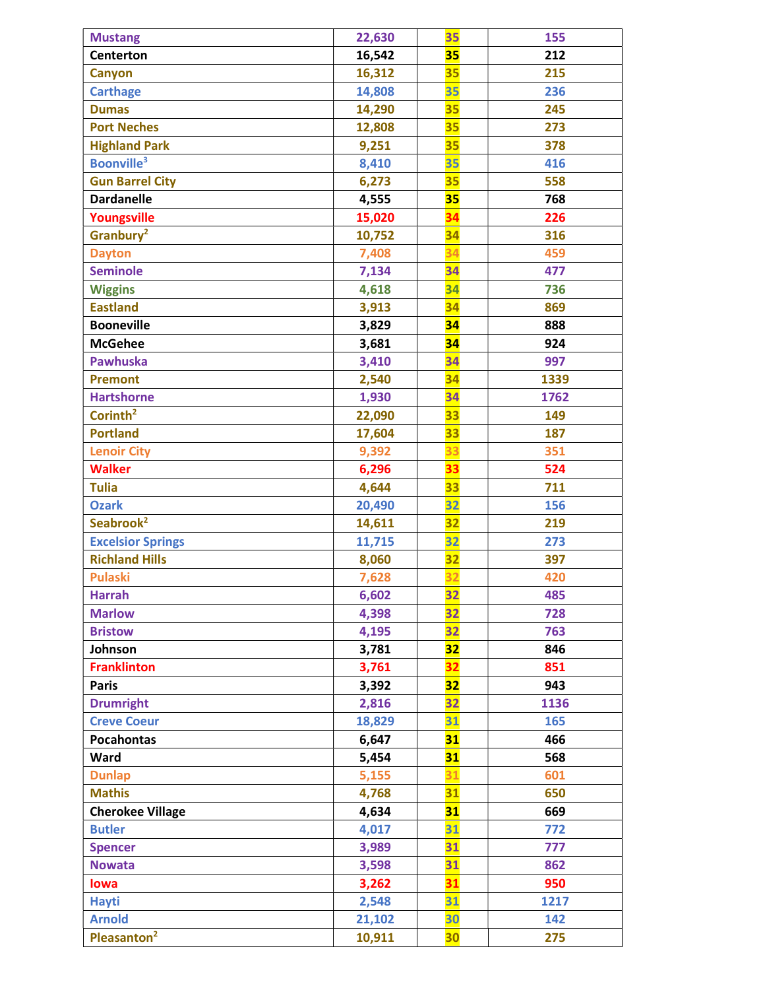| <b>Mustang</b>               | 22,630 | 35 | 155  |
|------------------------------|--------|----|------|
| <b>Centerton</b>             | 16,542 | 35 | 212  |
| <b>Canyon</b>                | 16,312 | 35 | 215  |
| <b>Carthage</b>              | 14,808 | 35 | 236  |
| <b>Dumas</b>                 | 14,290 | 35 | 245  |
| <b>Port Neches</b>           | 12,808 | 35 | 273  |
| <b>Highland Park</b>         | 9,251  | 35 | 378  |
| <b>Boonville<sup>3</sup></b> | 8,410  | 35 | 416  |
| <b>Gun Barrel City</b>       | 6,273  | 35 | 558  |
| <b>Dardanelle</b>            | 4,555  | 35 | 768  |
| Youngsville                  | 15,020 | 34 | 226  |
| Granbury <sup>2</sup>        | 10,752 | 34 | 316  |
| <b>Dayton</b>                | 7,408  | 34 | 459  |
| <b>Seminole</b>              | 7,134  | 34 | 477  |
| <b>Wiggins</b>               | 4,618  | 34 | 736  |
| <b>Eastland</b>              | 3,913  | 34 | 869  |
| <b>Booneville</b>            | 3,829  | 34 | 888  |
| <b>McGehee</b>               | 3,681  | 34 | 924  |
| <b>Pawhuska</b>              | 3,410  | 34 | 997  |
| <b>Premont</b>               | 2,540  | 34 | 1339 |
| <b>Hartshorne</b>            | 1,930  | 34 | 1762 |
| Corinth <sup>2</sup>         | 22,090 | 33 | 149  |
| <b>Portland</b>              | 17,604 | 33 | 187  |
| <b>Lenoir City</b>           | 9,392  | 33 | 351  |
| <b>Walker</b>                | 6,296  | 33 | 524  |
| <b>Tulia</b>                 | 4,644  | 33 | 711  |
| <b>Ozark</b>                 | 20,490 | 32 | 156  |
| Seabrook <sup>2</sup>        | 14,611 | 32 | 219  |
| <b>Excelsior Springs</b>     | 11,715 | 32 | 273  |
| <b>Richland Hills</b>        | 8,060  | 32 | 397  |
| <b>Pulaski</b>               | 7,628  | 32 | 420  |
| <b>Harrah</b>                | 6,602  | 32 | 485  |
| <b>Marlow</b>                | 4,398  | 32 | 728  |
| <b>Bristow</b>               | 4,195  | 32 | 763  |
| Johnson                      | 3,781  | 32 | 846  |
| <b>Franklinton</b>           | 3,761  | 32 | 851  |
| <b>Paris</b>                 | 3,392  | 32 | 943  |
| <b>Drumright</b>             | 2,816  | 32 | 1136 |
| <b>Creve Coeur</b>           | 18,829 | 31 | 165  |
| <b>Pocahontas</b>            | 6,647  | 31 | 466  |
| Ward                         | 5,454  | 31 | 568  |
| <b>Dunlap</b>                | 5,155  | 31 | 601  |
| <b>Mathis</b>                | 4,768  | 31 | 650  |
| <b>Cherokee Village</b>      | 4,634  | 31 | 669  |
| <b>Butler</b>                | 4,017  | 31 | 772  |
| <b>Spencer</b>               | 3,989  | 31 | 777  |
| <b>Nowata</b>                | 3,598  | 31 | 862  |
| lowa                         | 3,262  | 31 | 950  |
| <b>Hayti</b>                 | 2,548  | 31 | 1217 |
| <b>Arnold</b>                | 21,102 | 30 | 142  |
| Pleasanton <sup>2</sup>      | 10,911 | 30 | 275  |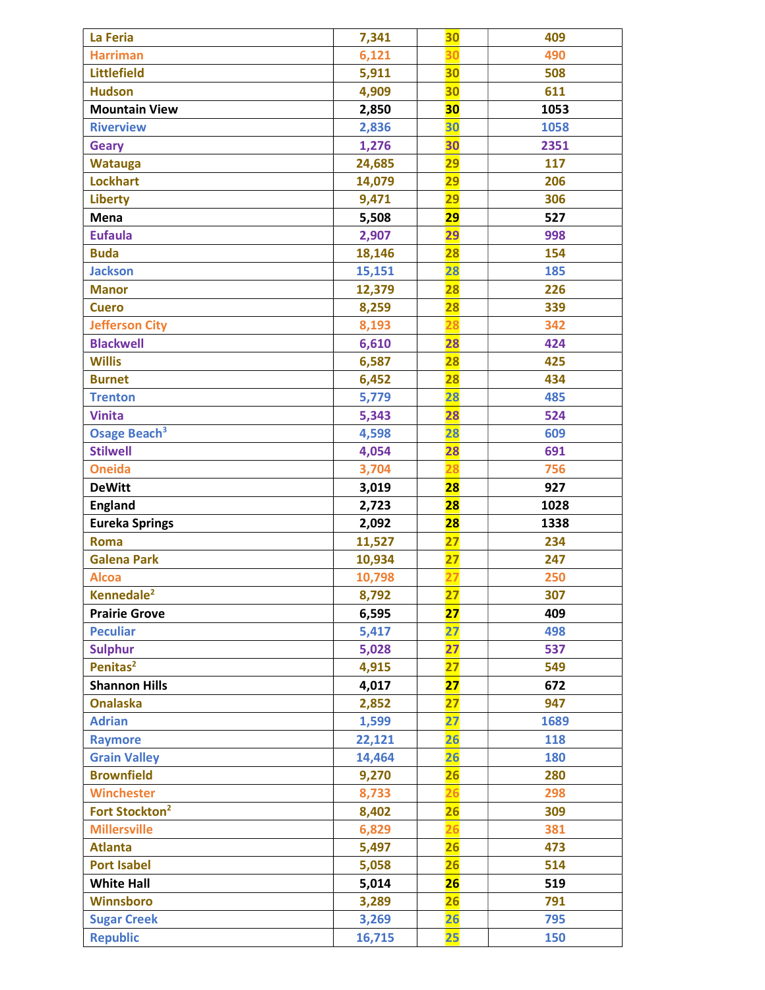| La Feria                                     | 7,341           | 30                             | 409        |
|----------------------------------------------|-----------------|--------------------------------|------------|
| <b>Harriman</b>                              | 6,121           | 30                             | 490        |
| <b>Littlefield</b>                           | 5,911           | 30                             | 508        |
| <b>Hudson</b>                                | 4,909           | 30                             | 611        |
| <b>Mountain View</b>                         | 2,850           | 30                             | 1053       |
| <b>Riverview</b>                             | 2,836           | 30                             | 1058       |
| <b>Geary</b>                                 | 1,276           | 30                             | 2351       |
| <b>Watauga</b>                               | 24,685          | 29                             | 117        |
| <b>Lockhart</b>                              | 14,079          | $\overline{29}$                | 206        |
| <b>Liberty</b>                               | 9,471           | $\overline{29}$                | 306        |
| Mena                                         | 5,508           | 29                             | 527        |
| <b>Eufaula</b>                               | 2,907           | 29                             | 998        |
| <b>Buda</b>                                  | 18,146          | 28                             | 154        |
| <b>Jackson</b>                               | 15,151          | 28                             | 185        |
| <b>Manor</b>                                 | 12,379          | <b>28</b>                      | 226        |
| <b>Cuero</b>                                 | 8,259           | 28                             | 339        |
| <b>Jefferson City</b>                        | 8,193           | 28                             | 342        |
| <b>Blackwell</b>                             | 6,610           | 28                             | 424        |
| <b>Willis</b>                                | 6,587           | <b>28</b>                      | 425        |
| <b>Burnet</b>                                | 6,452           | 28                             | 434        |
| <b>Trenton</b>                               | 5,779           | 28                             | 485        |
| <b>Vinita</b>                                | 5,343           | 28                             | 524        |
| Osage Beach <sup>3</sup>                     | 4,598           | 28                             | 609        |
| <b>Stilwell</b>                              | 4,054           | 28                             | 691        |
| <b>Oneida</b>                                | 3,704           | 28                             | 756        |
| <b>DeWitt</b>                                | 3,019           | <b>28</b>                      | 927        |
| <b>England</b>                               | 2,723           | 28                             | 1028       |
| <b>Eureka Springs</b>                        | 2,092           | 28                             | 1338       |
| <b>Roma</b>                                  | 11,527          | $\overline{\mathbf{27}}$       | 234        |
| <b>Galena Park</b>                           | 10,934          | $\overline{27}$                | 247        |
|                                              |                 |                                |            |
|                                              |                 |                                | 250        |
| <b>Alcoa</b>                                 | 10,798          | $\overline{27}$                |            |
| Kennedale <sup>2</sup>                       | 8,792           | $\overline{27}$                | 307        |
| <b>Prairie Grove</b><br><b>Peculiar</b>      | 6,595           | 27<br>27                       | 409<br>498 |
|                                              | 5,417           | 27                             |            |
| <b>Sulphur</b>                               | 5,028           |                                | 537<br>549 |
| Penitas <sup>2</sup><br><b>Shannon Hills</b> | 4,915           | $\overline{\mathbf{27}}$<br>27 |            |
| <b>Onalaska</b>                              | 4,017           | 27                             | 672<br>947 |
| <b>Adrian</b>                                | 2,852<br>1,599  | 27                             | 1689       |
|                                              |                 | 26                             |            |
| <b>Raymore</b>                               | 22,121          |                                | 118        |
| <b>Grain Valley</b><br><b>Brownfield</b>     | 14,464          | 26                             | 180        |
| <b>Winchester</b>                            | 9,270           | 26                             | 280        |
|                                              | 8,733           | 26                             | 298        |
| Fort Stockton <sup>2</sup>                   | 8,402           | <b>26</b>                      | 309        |
| <b>Millersville</b>                          | 6,829           | 26                             | 381        |
| <b>Atlanta</b>                               | 5,497           | 26                             | 473        |
| <b>Port Isabel</b>                           | 5,058           | 26<br>26                       | 514        |
| <b>White Hall</b>                            | 5,014           |                                | 519        |
| <b>Winnsboro</b>                             | 3,289           | <b>26</b><br>26                | 791        |
| <b>Sugar Creek</b><br><b>Republic</b>        | 3,269<br>16,715 | 25                             | 795<br>150 |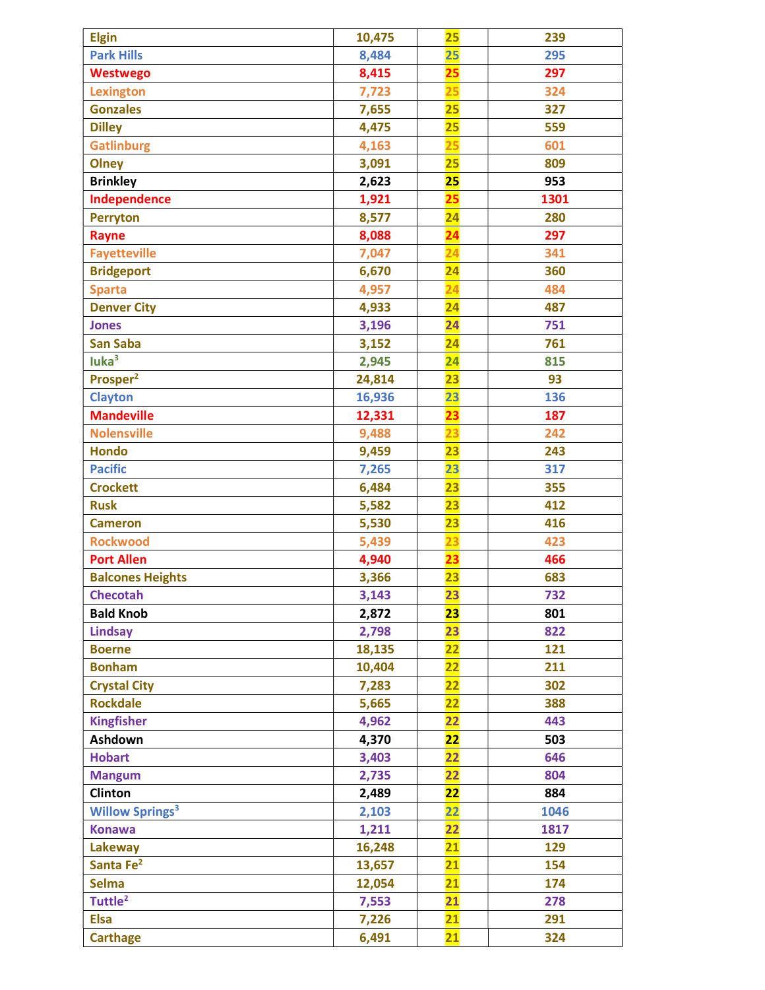| <b>Elgin</b>                      | 10,475 | 25                       | 239  |
|-----------------------------------|--------|--------------------------|------|
| <b>Park Hills</b>                 | 8,484  | 25                       | 295  |
| <b>Westwego</b>                   | 8,415  | <mark>25</mark>          | 297  |
| <b>Lexington</b>                  | 7,723  | 25                       | 324  |
| <b>Gonzales</b>                   | 7,655  | 25                       | 327  |
| <b>Dilley</b>                     | 4,475  | 25                       | 559  |
| <b>Gatlinburg</b>                 | 4,163  | 25                       | 601  |
| Olney                             | 3,091  | 25                       | 809  |
| <b>Brinkley</b>                   | 2,623  | 25                       | 953  |
| Independence                      | 1,921  | 25                       | 1301 |
| <b>Perryton</b>                   | 8,577  | $\overline{24}$          | 280  |
| Rayne                             | 8,088  | $\overline{\mathbf{24}}$ | 297  |
| <b>Fayetteville</b>               | 7,047  | $\overline{24}$          | 341  |
| <b>Bridgeport</b>                 | 6,670  | $\overline{24}$          | 360  |
| <b>Sparta</b>                     | 4,957  | 24                       | 484  |
| <b>Denver City</b>                | 4,933  | $\overline{24}$          | 487  |
| <b>Jones</b>                      | 3,196  | $\overline{24}$          | 751  |
| <b>San Saba</b>                   | 3,152  | 24                       | 761  |
| luka <sup>3</sup>                 | 2,945  | $\overline{24}$          | 815  |
| Prosper <sup>2</sup>              | 24,814 | 23                       | 93   |
| <b>Clayton</b>                    | 16,936 | 23                       | 136  |
| <b>Mandeville</b>                 | 12,331 | 23                       | 187  |
| <b>Nolensville</b>                | 9,488  | 23                       | 242  |
| <b>Hondo</b>                      | 9,459  | 23                       | 243  |
| <b>Pacific</b>                    | 7,265  | 23                       | 317  |
| <b>Crockett</b>                   | 6,484  | 23                       | 355  |
| <b>Rusk</b>                       | 5,582  | 23                       | 412  |
| <b>Cameron</b>                    | 5,530  | 23                       | 416  |
| <b>Rockwood</b>                   | 5,439  | 23                       | 423  |
| <b>Port Allen</b>                 | 4,940  | 23                       | 466  |
| <b>Balcones Heights</b>           | 3,366  | 23                       | 683  |
| <b>Checotah</b>                   | 3,143  | 23                       | 732  |
| <b>Bald Knob</b>                  | 2,872  | 23                       | 801  |
| <b>Lindsay</b>                    | 2,798  | 23                       | 822  |
| <b>Boerne</b>                     | 18,135 | $\overline{22}$          | 121  |
| <b>Bonham</b>                     | 10,404 | $\overline{22}$          | 211  |
| <b>Crystal City</b>               | 7,283  | $\overline{22}$          | 302  |
| <b>Rockdale</b>                   | 5,665  | $\overline{22}$          | 388  |
| <b>Kingfisher</b>                 | 4,962  | $\overline{22}$          | 443  |
| Ashdown                           | 4,370  | 22                       | 503  |
| <b>Hobart</b>                     | 3,403  | $\overline{22}$          | 646  |
| <b>Mangum</b>                     | 2,735  | $\overline{22}$          | 804  |
| Clinton                           | 2,489  | <b>22</b>                | 884  |
| <b>Willow Springs<sup>3</sup></b> | 2,103  | 22                       | 1046 |
| <b>Konawa</b>                     | 1,211  | $\overline{22}$          | 1817 |
| Lakeway                           | 16,248 | $\overline{21}$          | 129  |
| Santa Fe <sup>2</sup>             | 13,657 | $\overline{21}$          | 154  |
| <b>Selma</b>                      | 12,054 | $\overline{21}$          | 174  |
| Tuttle <sup>2</sup>               | 7,553  | 21                       | 278  |
| <b>Elsa</b>                       | 7,226  | 21                       | 291  |
| <b>Carthage</b>                   | 6,491  | 21                       | 324  |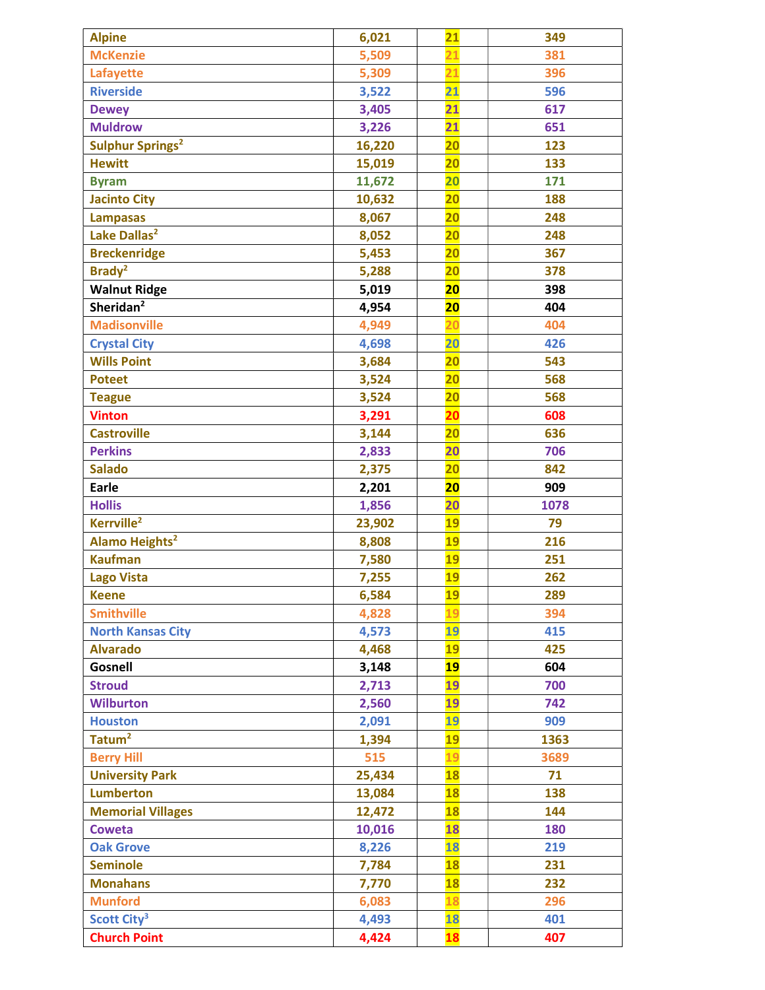| <b>Alpine</b>                      | 6,021  | $\overline{21}$ | 349  |
|------------------------------------|--------|-----------------|------|
| <b>McKenzie</b>                    | 5,509  | $\overline{21}$ | 381  |
| Lafayette                          | 5,309  | $\overline{21}$ | 396  |
| <b>Riverside</b>                   | 3,522  | $\overline{21}$ | 596  |
| <b>Dewey</b>                       | 3,405  | $\overline{21}$ | 617  |
| <b>Muldrow</b>                     | 3,226  | 21              | 651  |
| <b>Sulphur Springs<sup>2</sup></b> | 16,220 | $\overline{20}$ | 123  |
| <b>Hewitt</b>                      | 15,019 | $\overline{20}$ | 133  |
| <b>Byram</b>                       | 11,672 | $\overline{20}$ | 171  |
| <b>Jacinto City</b>                | 10,632 | 20              | 188  |
| <b>Lampasas</b>                    | 8,067  | $\overline{20}$ | 248  |
| Lake Dallas <sup>2</sup>           | 8,052  | $\overline{20}$ | 248  |
| <b>Breckenridge</b>                | 5,453  | $\overline{20}$ | 367  |
| Brady <sup>2</sup>                 | 5,288  | 20              | 378  |
| <b>Walnut Ridge</b>                | 5,019  | 20              | 398  |
| Sheridan <sup>2</sup>              | 4,954  | <b>20</b>       | 404  |
| <b>Madisonville</b>                | 4,949  | $\overline{20}$ | 404  |
| <b>Crystal City</b>                | 4,698  | 20              | 426  |
| <b>Wills Point</b>                 | 3,684  | $\overline{20}$ | 543  |
| <b>Poteet</b>                      | 3,524  | $\overline{20}$ | 568  |
| <b>Teague</b>                      | 3,524  | $\overline{20}$ | 568  |
| <b>Vinton</b>                      | 3,291  | $\overline{20}$ | 608  |
| <b>Castroville</b>                 | 3,144  | $\overline{20}$ | 636  |
| <b>Perkins</b>                     | 2,833  | 20              | 706  |
| <b>Salado</b>                      | 2,375  | $\overline{20}$ | 842  |
| <b>Earle</b>                       | 2,201  | <b>20</b>       | 909  |
| <b>Hollis</b>                      | 1,856  | $\overline{20}$ | 1078 |
| Kerrville <sup>2</sup>             | 23,902 | 19              | 79   |
| Alamo Heights <sup>2</sup>         | 8,808  | <b>19</b>       | 216  |
| <b>Kaufman</b>                     | 7,580  | <b>19</b>       | 251  |
| <b>Lago Vista</b>                  | 7,255  | 19              | 262  |
| <b>Keene</b>                       | 6,584  | <b>19</b>       | 289  |
| <b>Smithville</b>                  | 4,828  | 19              | 394  |
| <b>North Kansas City</b>           | 4,573  | 19              | 415  |
| <b>Alvarado</b>                    | 4,468  | <b>19</b>       | 425  |
| Gosnell                            | 3,148  | <b>19</b>       | 604  |
| <b>Stroud</b>                      | 2,713  | 19              | 700  |
| <b>Wilburton</b>                   | 2,560  | 19              | 742  |
| <b>Houston</b>                     | 2,091  | 19              | 909  |
| Tatum <sup>2</sup>                 | 1,394  | <b>19</b>       | 1363 |
| <b>Berry Hill</b>                  | 515    | 19              | 3689 |
| <b>University Park</b>             | 25,434 | <b>18</b>       | 71   |
| <b>Lumberton</b>                   | 13,084 | <b>18</b>       | 138  |
| <b>Memorial Villages</b>           | 12,472 | <b>18</b>       | 144  |
| <b>Coweta</b>                      | 10,016 | 18              | 180  |
| <b>Oak Grove</b>                   | 8,226  | 18              | 219  |
| <b>Seminole</b>                    | 7,784  | <b>18</b>       | 231  |
| <b>Monahans</b>                    | 7,770  | <b>18</b>       | 232  |
| <b>Munford</b>                     | 6,083  | 18              | 296  |
| Scott City <sup>3</sup>            | 4,493  | 18              | 401  |
| <b>Church Point</b>                | 4,424  | <b>18</b>       | 407  |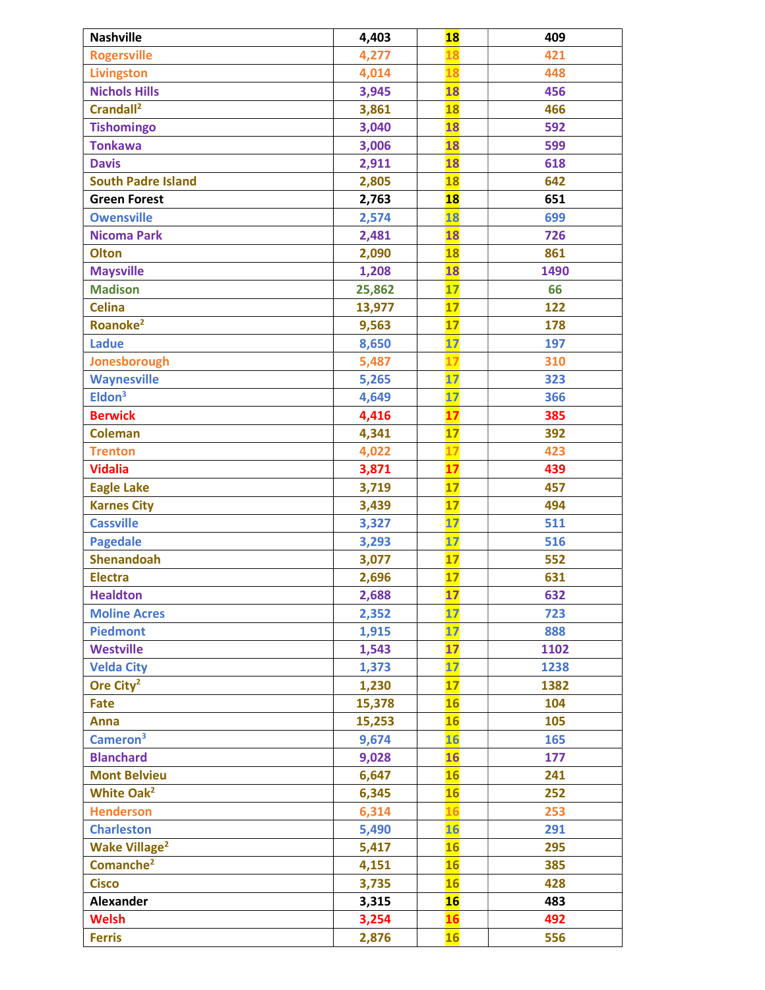| <b>Nashville</b>                | 4,403  | <b>18</b>       | 409  |
|---------------------------------|--------|-----------------|------|
| <b>Rogersville</b>              | 4,277  | 18              | 421  |
| <b>Livingston</b>               | 4,014  | 18              | 448  |
| <b>Nichols Hills</b>            | 3,945  | <b>18</b>       | 456  |
| Crandall <sup>2</sup>           | 3,861  | <b>18</b>       | 466  |
| <b>Tishomingo</b>               | 3,040  | 18              | 592  |
| <b>Tonkawa</b>                  | 3,006  | <b>18</b>       | 599  |
| <b>Davis</b>                    | 2,911  | <b>18</b>       | 618  |
| <b>South Padre Island</b>       | 2,805  | <b>18</b>       | 642  |
| <b>Green Forest</b>             | 2,763  | <b>18</b>       | 651  |
| <b>Owensville</b>               | 2,574  | 18              | 699  |
| <b>Nicoma Park</b>              | 2,481  | <b>18</b>       | 726  |
| <b>Olton</b>                    | 2,090  | <b>18</b>       | 861  |
| <b>Maysville</b>                | 1,208  | <b>18</b>       | 1490 |
| <b>Madison</b>                  | 25,862 | 17              | 66   |
| <b>Celina</b>                   | 13,977 | $\overline{17}$ | 122  |
| Roanoke <sup>2</sup>            | 9,563  | 17              | 178  |
| <b>Ladue</b>                    | 8,650  | 17              | 197  |
| Jonesborough                    | 5,487  | 17              | 310  |
| <b>Waynesville</b>              | 5,265  | 17              | 323  |
| Eldon <sup>3</sup>              | 4,649  | 17              | 366  |
| <b>Berwick</b>                  | 4,416  | 17              | 385  |
| <b>Coleman</b>                  | 4,341  | 17              | 392  |
| <b>Trenton</b>                  | 4,022  | 17              | 423  |
| <b>Vidalia</b>                  | 3,871  | 17              | 439  |
| <b>Eagle Lake</b>               | 3,719  | 17              | 457  |
| <b>Karnes City</b>              | 3,439  | 17              | 494  |
| <b>Cassville</b>                | 3,327  | 17              | 511  |
| <b>Pagedale</b>                 | 3,293  | 17              | 516  |
| <b>Shenandoah</b>               | 3,077  | 17              | 552  |
| <b>Electra</b>                  | 2,696  | 17              | 631  |
| <b>Healdton</b>                 | 2,688  | 17              | 632  |
| <b>Moline Acres</b>             | 2,352  | 17              | 723  |
| <b>Piedmont</b>                 | 1,915  | 17              | 888  |
| <b>Westville</b>                | 1,543  | 17              | 1102 |
| <b>Velda City</b>               | 1,373  | 17              | 1238 |
| Ore City <sup>2</sup>           | 1,230  | 17              | 1382 |
| Fate                            | 15,378 | 16              | 104  |
| <b>Anna</b>                     | 15,253 | <b>16</b>       | 105  |
| Cameron <sup>3</sup>            | 9,674  | <b>16</b>       | 165  |
| <b>Blanchard</b>                | 9,028  | <b>16</b>       | 177  |
| <b>Mont Belvieu</b>             | 6,647  | <b>16</b>       | 241  |
| White Oak <sup>2</sup>          | 6,345  | 16              | 252  |
| <b>Henderson</b>                | 6,314  | 16              | 253  |
| <b>Charleston</b>               | 5,490  | <b>16</b>       | 291  |
| <b>Wake Village<sup>2</sup></b> | 5,417  | <b>16</b>       | 295  |
| Comanche <sup>2</sup>           | 4,151  | <b>16</b>       | 385  |
| <b>Cisco</b>                    | 3,735  | 16              | 428  |
| <b>Alexander</b>                | 3,315  | 16              | 483  |
| <b>Welsh</b>                    | 3,254  | <b>16</b>       | 492  |
| <b>Ferris</b>                   | 2,876  | <b>16</b>       | 556  |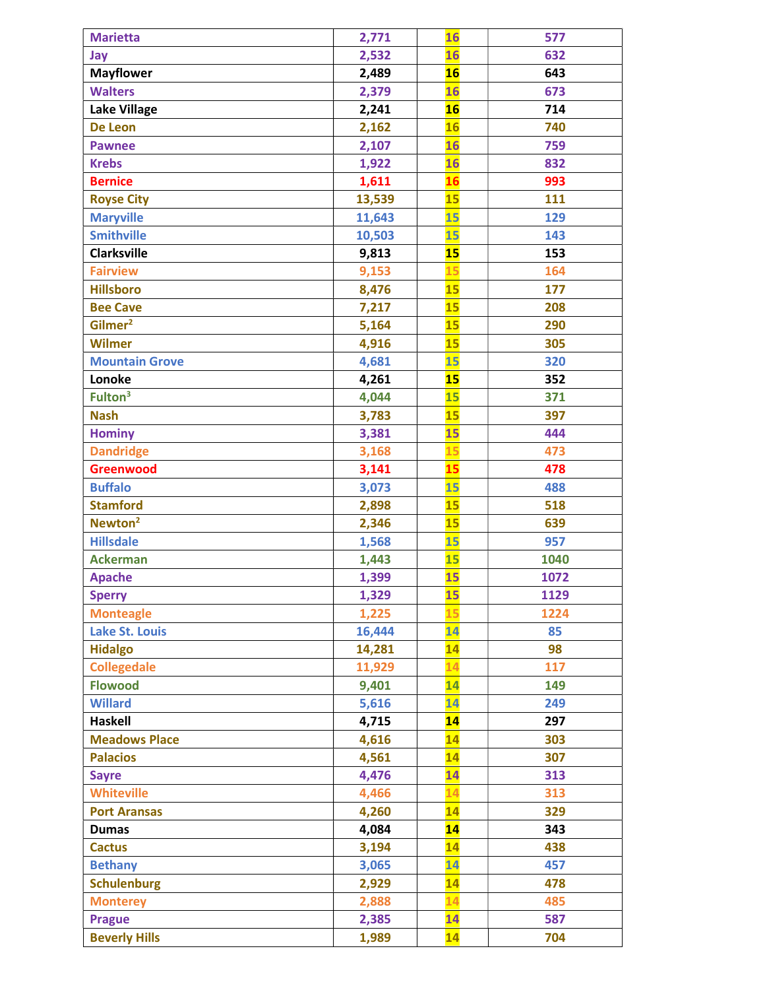| <b>Marietta</b>       | 2,771  | 16        | 577  |
|-----------------------|--------|-----------|------|
| Jay                   | 2,532  | 16        | 632  |
| <b>Mayflower</b>      | 2,489  | 16        | 643  |
| <b>Walters</b>        | 2,379  | 16        | 673  |
| <b>Lake Village</b>   | 2,241  | 16        | 714  |
| De Leon               | 2,162  | <b>16</b> | 740  |
| <b>Pawnee</b>         | 2,107  | <b>16</b> | 759  |
| <b>Krebs</b>          | 1,922  | 16        | 832  |
| <b>Bernice</b>        | 1,611  | 16        | 993  |
| <b>Royse City</b>     | 13,539 | 15        | 111  |
| <b>Maryville</b>      | 11,643 | 15        | 129  |
| <b>Smithville</b>     | 10,503 | 15        | 143  |
| <b>Clarksville</b>    | 9,813  | 15        | 153  |
| <b>Fairview</b>       | 9,153  | 15        | 164  |
| <b>Hillsboro</b>      | 8,476  | 15        | 177  |
| <b>Bee Cave</b>       | 7,217  | 15        | 208  |
| Gilmer <sup>2</sup>   | 5,164  | <b>15</b> | 290  |
| <b>Wilmer</b>         | 4,916  | 15        | 305  |
| <b>Mountain Grove</b> | 4,681  | 15        | 320  |
| Lonoke                | 4,261  | 15        | 352  |
| Fulton <sup>3</sup>   | 4,044  | <b>15</b> | 371  |
| <b>Nash</b>           | 3,783  | <b>15</b> | 397  |
| <b>Hominy</b>         | 3,381  | 15        | 444  |
| <b>Dandridge</b>      | 3,168  | 15        | 473  |
| <b>Greenwood</b>      | 3,141  | 15        | 478  |
| <b>Buffalo</b>        | 3,073  | 15        | 488  |
| <b>Stamford</b>       | 2,898  | 15        | 518  |
| Newton <sup>2</sup>   | 2,346  | 15        | 639  |
| <b>Hillsdale</b>      | 1,568  | 15        | 957  |
| <b>Ackerman</b>       | 1,443  | <b>15</b> | 1040 |
| <b>Apache</b>         | 1,399  | 15        | 1072 |
| <b>Sperry</b>         | 1,329  | 15        | 1129 |
| <b>Monteagle</b>      | 1,225  | 15        | 1224 |
| <b>Lake St. Louis</b> | 16,444 | 14        | 85   |
| <b>Hidalgo</b>        | 14,281 | 14        | 98   |
| <b>Collegedale</b>    | 11,929 | 14        | 117  |
| <b>Flowood</b>        | 9,401  | 14        | 149  |
| <b>Willard</b>        | 5,616  | 14        | 249  |
| <b>Haskell</b>        | 4,715  | 14        | 297  |
| <b>Meadows Place</b>  | 4,616  | 14        | 303  |
| <b>Palacios</b>       | 4,561  | 14        | 307  |
| <b>Sayre</b>          | 4,476  | 14        | 313  |
| <b>Whiteville</b>     | 4,466  | 14        | 313  |
| <b>Port Aransas</b>   | 4,260  | 14        | 329  |
| <b>Dumas</b>          | 4,084  | 14        | 343  |
| <b>Cactus</b>         | 3,194  | 14        | 438  |
| <b>Bethany</b>        | 3,065  | 14        | 457  |
| <b>Schulenburg</b>    | 2,929  | 14        | 478  |
| <b>Monterey</b>       | 2,888  | 14        | 485  |
| <b>Prague</b>         | 2,385  | 14        | 587  |
| <b>Beverly Hills</b>  | 1,989  | 14        | 704  |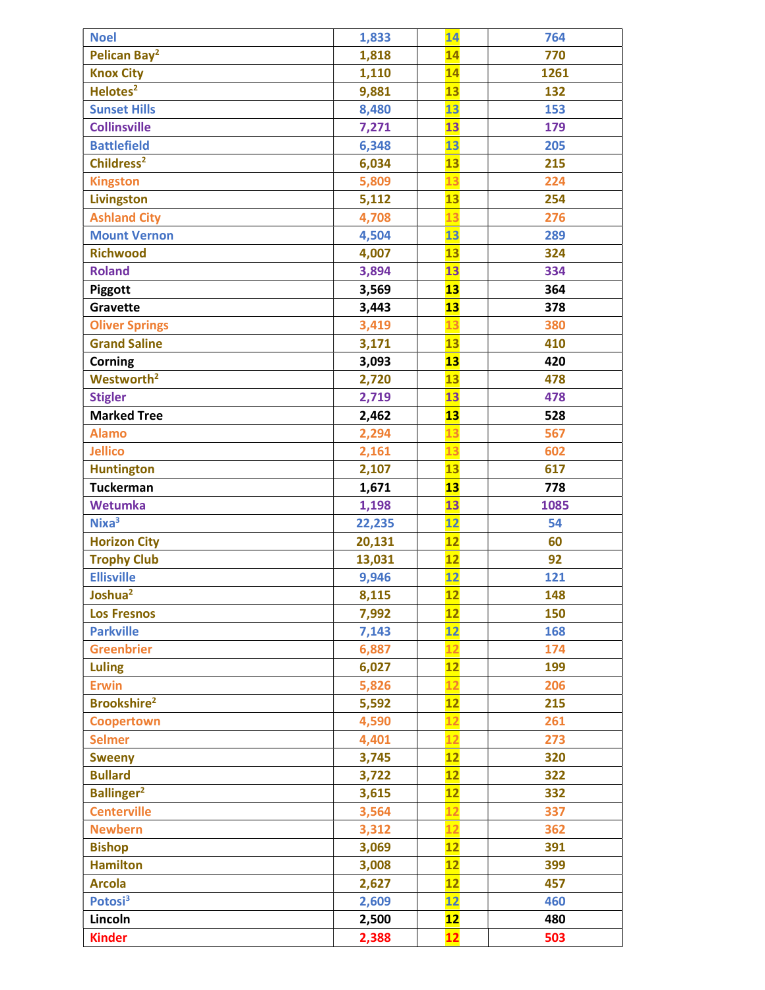| <b>Noel</b>                    | 1,833  | 14                       | 764  |
|--------------------------------|--------|--------------------------|------|
| Pelican Bay <sup>2</sup>       | 1,818  | 14                       | 770  |
| <b>Knox City</b>               | 1,110  | 14                       | 1261 |
| Helotes <sup>2</sup>           | 9,881  | 13                       | 132  |
| <b>Sunset Hills</b>            | 8,480  | 13                       | 153  |
| <b>Collinsville</b>            | 7,271  | 13                       | 179  |
| <b>Battlefield</b>             | 6,348  | 13                       | 205  |
| Childress <sup>2</sup>         | 6,034  | 13                       | 215  |
| <b>Kingston</b>                | 5,809  | 13                       | 224  |
| <b>Livingston</b>              | 5,112  | 13                       | 254  |
| <b>Ashland City</b>            | 4,708  | 13                       | 276  |
| <b>Mount Vernon</b>            | 4,504  | 13                       | 289  |
| <b>Richwood</b>                | 4,007  | 13                       | 324  |
| <b>Roland</b>                  | 3,894  | 13                       | 334  |
| Piggott                        | 3,569  | 13                       | 364  |
| Gravette                       | 3,443  | 13                       | 378  |
| <b>Oliver Springs</b>          | 3,419  | 13                       | 380  |
| <b>Grand Saline</b>            | 3,171  | 13                       | 410  |
| <b>Corning</b>                 | 3,093  | 13                       | 420  |
| Westworth <sup>2</sup>         | 2,720  | 13                       | 478  |
| <b>Stigler</b>                 | 2,719  | 13                       | 478  |
| <b>Marked Tree</b>             | 2,462  | 13                       | 528  |
| <b>Alamo</b>                   | 2,294  | 13                       | 567  |
| <b>Jellico</b>                 | 2,161  | 13                       | 602  |
| <b>Huntington</b>              | 2,107  | 13                       | 617  |
| <b>Tuckerman</b>               | 1,671  | 13                       | 778  |
| <b>Wetumka</b>                 | 1,198  | 13                       | 1085 |
| Nixa <sup>3</sup>              | 22,235 | 12                       | 54   |
| <b>Horizon City</b>            | 20,131 | 12                       | 60   |
| <b>Trophy Club</b>             | 13,031 | 12                       | 92   |
| <b>Ellisville</b>              | 9,946  | $\overline{\mathbf{12}}$ | 121  |
| Joshua <sup>2</sup>            | 8,115  | 12                       | 148  |
| <b>Los Fresnos</b>             | 7,992  | $\overline{12}$          | 150  |
| <b>Parkville</b>               | 7,143  | $\overline{12}$          | 168  |
| <b>Greenbrier</b>              | 6,887  | 12                       | 174  |
| <b>Luling</b>                  | 6,027  | 12                       | 199  |
| <b>Erwin</b>                   | 5,826  | 12                       | 206  |
| <b>Brookshire</b> <sup>2</sup> | 5,592  | 12                       | 215  |
| Coopertown                     | 4,590  | 12                       | 261  |
| <b>Selmer</b>                  | 4,401  | 12                       | 273  |
| <b>Sweeny</b>                  | 3,745  | 12                       | 320  |
| <b>Bullard</b>                 | 3,722  | 12                       | 322  |
| <b>Ballinger<sup>2</sup></b>   | 3,615  | 12                       | 332  |
| <b>Centerville</b>             | 3,564  | 12                       | 337  |
| <b>Newbern</b>                 | 3,312  | 12                       | 362  |
| <b>Bishop</b>                  | 3,069  | 12                       | 391  |
| <b>Hamilton</b>                | 3,008  | 12                       | 399  |
| <b>Arcola</b>                  | 2,627  | $\overline{12}$          | 457  |
| Potosi <sup>3</sup>            | 2,609  | 12                       | 460  |
| Lincoln                        | 2,500  | 12                       | 480  |
| <b>Kinder</b>                  | 2,388  | 12                       | 503  |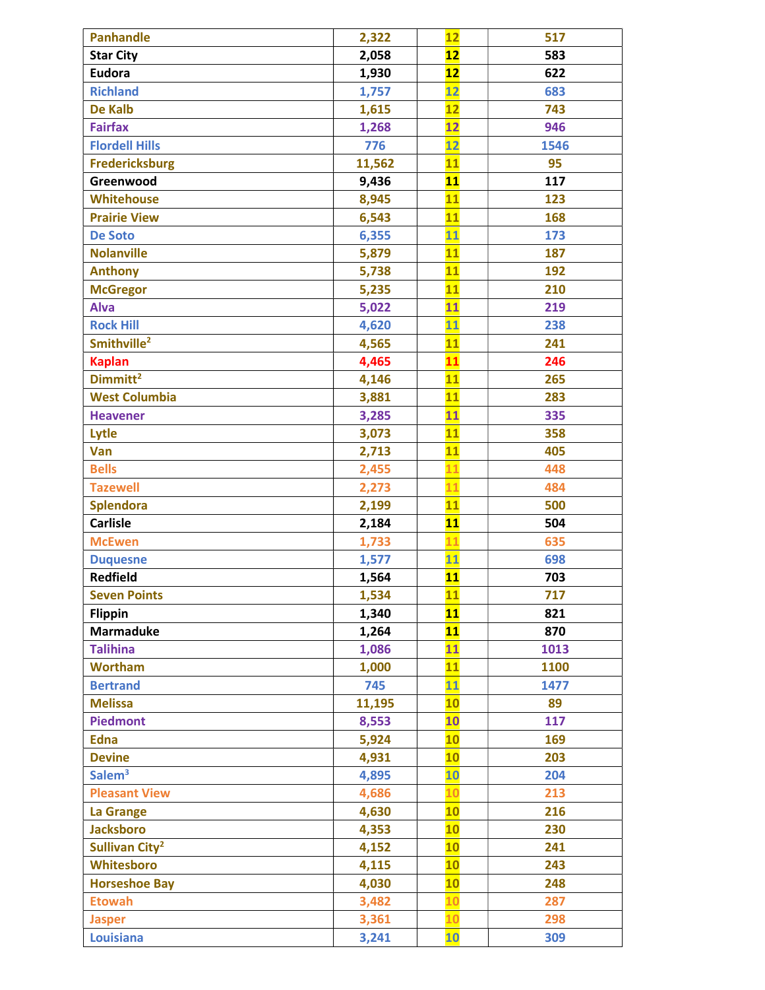| <b>Panhandle</b>           | 2,322  | 12              | 517  |
|----------------------------|--------|-----------------|------|
| <b>Star City</b>           | 2,058  | 12              | 583  |
| <b>Eudora</b>              | 1,930  | 12              | 622  |
| <b>Richland</b>            | 1,757  | 12              | 683  |
| <b>De Kalb</b>             | 1,615  | 12              | 743  |
| <b>Fairfax</b>             | 1,268  | 12              | 946  |
| <b>Flordell Hills</b>      | 776    | $\overline{12}$ | 1546 |
| <b>Fredericksburg</b>      | 11,562 | 11              | 95   |
| Greenwood                  | 9,436  | 11              | 117  |
| <b>Whitehouse</b>          | 8,945  | 11              | 123  |
| <b>Prairie View</b>        | 6,543  | 11              | 168  |
| <b>De Soto</b>             | 6,355  | 11              | 173  |
| <b>Nolanville</b>          | 5,879  | $\overline{11}$ | 187  |
| <b>Anthony</b>             | 5,738  | 11              | 192  |
| <b>McGregor</b>            | 5,235  | 11              | 210  |
| <b>Alva</b>                | 5,022  | 11              | 219  |
| <b>Rock Hill</b>           | 4,620  | 11              | 238  |
| Smithville <sup>2</sup>    | 4,565  | $\overline{11}$ | 241  |
| <b>Kaplan</b>              | 4,465  | 11              | 246  |
| Dimmitt <sup>2</sup>       | 4,146  | 11              | 265  |
| <b>West Columbia</b>       | 3,881  | 11              | 283  |
| <b>Heavener</b>            | 3,285  | 11              | 335  |
| Lytle                      | 3,073  | $\overline{11}$ | 358  |
| Van                        | 2,713  | 11              | 405  |
| <b>Bells</b>               | 2,455  | 11              | 448  |
| <b>Tazewell</b>            | 2,273  | 11              | 484  |
| <b>Splendora</b>           | 2,199  | 11              | 500  |
| <b>Carlisle</b>            | 2,184  | 11              | 504  |
| <b>McEwen</b>              | 1,733  | 11              | 635  |
| <b>Duquesne</b>            | 1,577  | 11              | 698  |
| <b>Redfield</b>            | 1,564  | 11              | 703  |
| <b>Seven Points</b>        | 1,534  | 11              | 717  |
| <b>Flippin</b>             | 1,340  | 11              | 821  |
| <b>Marmaduke</b>           | 1,264  | 11              | 870  |
| <b>Talihina</b>            | 1,086  | 11              | 1013 |
| <b>Wortham</b>             | 1,000  | 11              | 1100 |
| <b>Bertrand</b>            | 745    | $\overline{11}$ | 1477 |
| <b>Melissa</b>             | 11,195 | 10              | 89   |
| <b>Piedmont</b>            | 8,553  | 10              | 117  |
| <b>Edna</b>                | 5,924  | 10              | 169  |
| <b>Devine</b>              | 4,931  | 10              | 203  |
| Salem <sup>3</sup>         | 4,895  | $\overline{10}$ | 204  |
| <b>Pleasant View</b>       | 4,686  | 10              | 213  |
| La Grange                  | 4,630  | 10              | 216  |
| <b>Jacksboro</b>           | 4,353  | 10              | 230  |
| Sullivan City <sup>2</sup> | 4,152  | 10              | 241  |
| Whitesboro                 | 4,115  | 10              | 243  |
| <b>Horseshoe Bay</b>       | 4,030  | 10              | 248  |
| <b>Etowah</b>              | 3,482  | 10              | 287  |
| <b>Jasper</b>              | 3,361  | 10              | 298  |
| <b>Louisiana</b>           | 3,241  | 10              | 309  |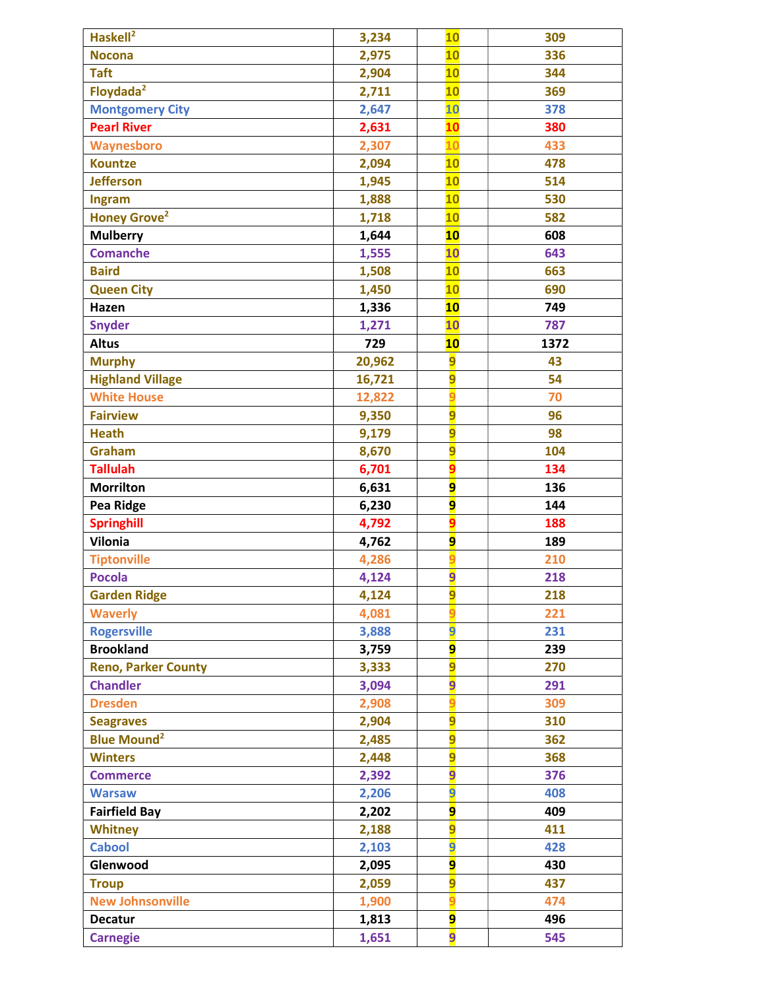| Haskell <sup>2</sup>            | 3,234  | <b>10</b>      | 309  |
|---------------------------------|--------|----------------|------|
| <b>Nocona</b>                   | 2,975  | 10             | 336  |
| <b>Taft</b>                     | 2,904  | 10             | 344  |
| Floydada <sup>2</sup>           | 2,711  | 10             | 369  |
| <b>Montgomery City</b>          | 2,647  | 10             | 378  |
| <b>Pearl River</b>              | 2,631  | 10             | 380  |
| Waynesboro                      | 2,307  | 10             | 433  |
| <b>Kountze</b>                  | 2,094  | 10             | 478  |
| <b>Jefferson</b>                | 1,945  | 10             | 514  |
| Ingram                          | 1,888  | 10             | 530  |
| <b>Honey Grove</b> <sup>2</sup> | 1,718  | 10             | 582  |
| <b>Mulberry</b>                 | 1,644  | 10             | 608  |
| <b>Comanche</b>                 | 1,555  | 10             | 643  |
| <b>Baird</b>                    | 1,508  | 10             | 663  |
| <b>Queen City</b>               | 1,450  | 10             | 690  |
| Hazen                           | 1,336  | <b>10</b>      | 749  |
| <b>Snyder</b>                   | 1,271  | 10             | 787  |
| <b>Altus</b>                    | 729    | 10             | 1372 |
| <b>Murphy</b>                   | 20,962 | $\overline{9}$ | 43   |
| <b>Highland Village</b>         | 16,721 | $\overline{9}$ | 54   |
| <b>White House</b>              | 12,822 | $\overline{9}$ | 70   |
| <b>Fairview</b>                 | 9,350  | 9              | 96   |
| <b>Heath</b>                    | 9,179  | 9              | 98   |
| Graham                          | 8,670  | $\overline{9}$ | 104  |
| <b>Tallulah</b>                 | 6,701  | $\overline{9}$ | 134  |
| <b>Morrilton</b>                | 6,631  | $\overline{9}$ | 136  |
| Pea Ridge                       | 6,230  | 9              | 144  |
| <b>Springhill</b>               | 4,792  | $\overline{9}$ | 188  |
| <b>Vilonia</b>                  | 4,762  | 9              | 189  |
| <b>Tiptonville</b>              | 4,286  | q              | 210  |
| <b>Pocola</b>                   | 4,124  | $\overline{9}$ | 218  |
| <b>Garden Ridge</b>             | 4,124  | 9              | 218  |
| <b>Waverly</b>                  | 4,081  |                | 221  |
| <b>Rogersville</b>              | 3,888  | 9              | 231  |
| <b>Brookland</b>                | 3,759  | 9              | 239  |
| <b>Reno, Parker County</b>      | 3,333  | 9              | 270  |
| <b>Chandler</b>                 | 3,094  | 9              | 291  |
| <b>Dresden</b>                  | 2,908  |                | 309  |
| <b>Seagraves</b>                | 2,904  | $\overline{9}$ | 310  |
| <b>Blue Mound<sup>2</sup></b>   | 2,485  | $\overline{9}$ | 362  |
| <b>Winters</b>                  | 2,448  | 9              | 368  |
| <b>Commerce</b>                 | 2,392  | 9              | 376  |
| <b>Warsaw</b>                   | 2,206  | 9              | 408  |
| <b>Fairfield Bay</b>            | 2,202  | 9              | 409  |
| <b>Whitney</b>                  | 2,188  | $\overline{9}$ | 411  |
| <b>Cabool</b>                   | 2,103  | 9              | 428  |
| Glenwood                        | 2,095  | 9              | 430  |
| <b>Troup</b>                    | 2,059  | 9              | 437  |
| <b>New Johnsonville</b>         | 1,900  | a              | 474  |
| <b>Decatur</b>                  | 1,813  | 9              | 496  |
| <b>Carnegie</b>                 | 1,651  | 9              | 545  |
|                                 |        |                |      |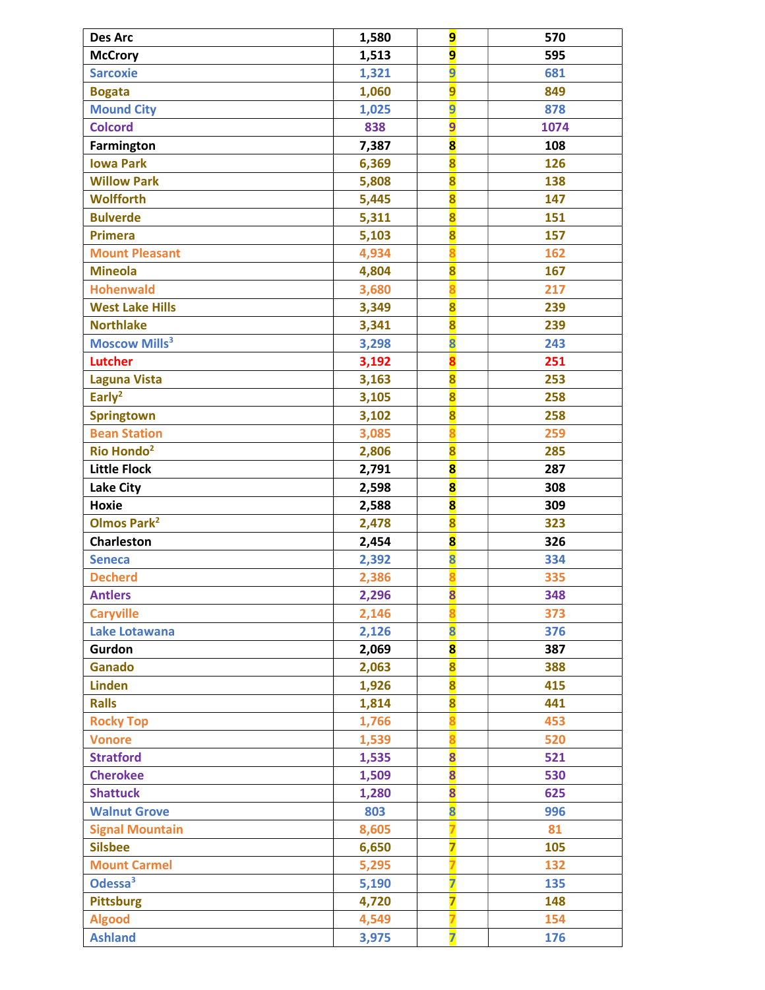| <b>Des Arc</b>                  | 1,580 | 9                       | 570  |
|---------------------------------|-------|-------------------------|------|
| <b>McCrory</b>                  | 1,513 | 9                       | 595  |
| <b>Sarcoxie</b>                 | 1,321 | 9                       | 681  |
| <b>Bogata</b>                   | 1,060 | 9                       | 849  |
| <b>Mound City</b>               | 1,025 | 9                       | 878  |
| <b>Colcord</b>                  | 838   | 9                       | 1074 |
| Farmington                      | 7,387 | $\overline{\mathbf{8}}$ | 108  |
| <b>Iowa Park</b>                | 6,369 | $\overline{\mathbf{8}}$ | 126  |
| <b>Willow Park</b>              | 5,808 | $\overline{\mathbf{8}}$ | 138  |
| <b>Wolfforth</b>                | 5,445 | $\overline{\mathbf{8}}$ | 147  |
| <b>Bulverde</b>                 | 5,311 | $\overline{\mathbf{8}}$ | 151  |
| <b>Primera</b>                  | 5,103 | $\overline{\mathbf{8}}$ | 157  |
| <b>Mount Pleasant</b>           | 4,934 |                         | 162  |
| <b>Mineola</b>                  | 4,804 | $\overline{\mathbf{8}}$ | 167  |
| <b>Hohenwald</b>                | 3,680 | $\overline{\mathbf{8}}$ | 217  |
| <b>West Lake Hills</b>          | 3,349 | $\overline{\mathbf{8}}$ | 239  |
| <b>Northlake</b>                | 3,341 | $\overline{\mathbf{8}}$ | 239  |
| <b>Moscow Mills<sup>3</sup></b> | 3,298 | 8                       | 243  |
| <b>Lutcher</b>                  | 3,192 |                         | 251  |
| <b>Laguna Vista</b>             | 3,163 | $\overline{\mathbf{8}}$ | 253  |
| Early <sup>2</sup>              | 3,105 | $\overline{\mathbf{8}}$ | 258  |
| <b>Springtown</b>               | 3,102 | $\overline{\mathbf{8}}$ | 258  |
| <b>Bean Station</b>             | 3,085 | $\overline{\mathbf{R}}$ | 259  |
| Rio Hondo <sup>2</sup>          | 2,806 | 8                       | 285  |
| <b>Little Flock</b>             | 2,791 | $\overline{\mathbf{8}}$ | 287  |
| <b>Lake City</b>                | 2,598 | $\overline{\mathbf{8}}$ | 308  |
| <b>Hoxie</b>                    | 2,588 | $\overline{\mathbf{8}}$ | 309  |
| <b>Olmos Park<sup>2</sup></b>   | 2,478 | $\overline{\mathbf{8}}$ | 323  |
| <b>Charleston</b>               | 2,454 | $\overline{\mathbf{8}}$ | 326  |
| <b>Seneca</b>                   | 2,392 | 8                       | 334  |
| <b>Decherd</b>                  | 2,386 |                         | 335  |
| <b>Antlers</b>                  | 2,296 | 8                       | 348  |
| <b>Caryville</b>                | 2,146 |                         | 373  |
| Lake Lotawana                   | 2,126 | 8                       | 376  |
| Gurdon                          | 2,069 | $\overline{\mathbf{8}}$ | 387  |
| Ganado                          | 2,063 | $\overline{\mathbf{8}}$ | 388  |
| <b>Linden</b>                   | 1,926 | $\overline{\mathbf{8}}$ | 415  |
| <b>Ralls</b>                    | 1,814 | $\overline{\mathbf{8}}$ | 441  |
| <b>Rocky Top</b>                | 1,766 |                         | 453  |
| <b>Vonore</b>                   | 1,539 | ន                       | 520  |
| <b>Stratford</b>                | 1,535 | $\overline{\mathbf{8}}$ | 521  |
| <b>Cherokee</b>                 | 1,509 | $\overline{\mathbf{8}}$ | 530  |
| <b>Shattuck</b>                 | 1,280 | $\overline{\mathbf{8}}$ | 625  |
| <b>Walnut Grove</b>             | 803   | 8                       | 996  |
| <b>Signal Mountain</b>          | 8,605 |                         | 81   |
| <b>Silsbee</b>                  | 6,650 | $\overline{\mathbf{z}}$ | 105  |
| <b>Mount Carmel</b>             | 5,295 |                         | 132  |
| Odessa <sup>3</sup>             | 5,190 | 7                       | 135  |
| <b>Pittsburg</b>                | 4,720 | 7                       | 148  |
| <b>Algood</b>                   | 4,549 |                         | 154  |
| <b>Ashland</b>                  | 3,975 | 7                       | 176  |
|                                 |       |                         |      |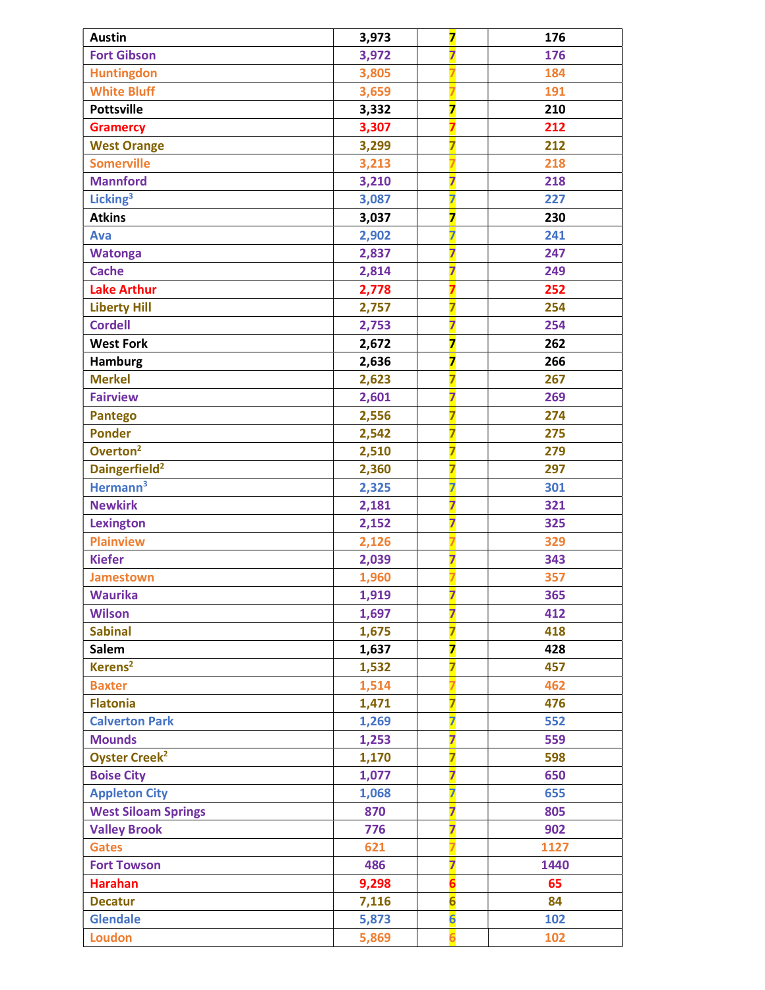| <b>Austin</b>                   | 3,973 | $\overline{\mathbf{z}}$ | 176  |
|---------------------------------|-------|-------------------------|------|
| <b>Fort Gibson</b>              | 3,972 | $\overline{\mathbf{z}}$ | 176  |
| <b>Huntingdon</b>               | 3,805 |                         | 184  |
| <b>White Bluff</b>              | 3,659 |                         | 191  |
| <b>Pottsville</b>               | 3,332 | $\overline{\mathbf{z}}$ | 210  |
| <b>Gramercy</b>                 | 3,307 |                         | 212  |
| <b>West Orange</b>              | 3,299 | 7                       | 212  |
| <b>Somerville</b>               | 3,213 |                         | 218  |
| <b>Mannford</b>                 | 3,210 | $\overline{\mathbf{z}}$ | 218  |
| Licking <sup>3</sup>            | 3,087 | $\overline{\mathbf{z}}$ | 227  |
| <b>Atkins</b>                   | 3,037 | $\overline{\mathbf{z}}$ | 230  |
| Ava                             | 2,902 | $\overline{\mathbf{z}}$ | 241  |
| <b>Watonga</b>                  | 2,837 | $\overline{\mathbf{z}}$ | 247  |
| <b>Cache</b>                    | 2,814 | $\overline{\mathbf{z}}$ | 249  |
| <b>Lake Arthur</b>              | 2,778 | $\overline{\mathbf{z}}$ | 252  |
| <b>Liberty Hill</b>             | 2,757 | $\overline{\mathbf{z}}$ | 254  |
| <b>Cordell</b>                  | 2,753 | $\overline{\mathbf{z}}$ | 254  |
| <b>West Fork</b>                | 2,672 | $\overline{\mathbf{z}}$ | 262  |
| <b>Hamburg</b>                  | 2,636 | $\overline{\mathbf{z}}$ | 266  |
| <b>Merkel</b>                   | 2,623 | $\overline{\mathbf{z}}$ | 267  |
| <b>Fairview</b>                 | 2,601 | $\overline{\mathbf{z}}$ | 269  |
| <b>Pantego</b>                  | 2,556 | $\overline{\mathbf{z}}$ | 274  |
| <b>Ponder</b>                   | 2,542 | $\overline{\mathbf{z}}$ | 275  |
| Overton <sup>2</sup>            | 2,510 | $\overline{\mathbf{z}}$ | 279  |
| Daingerfield <sup>2</sup>       | 2,360 | $\overline{\mathbf{z}}$ | 297  |
| Hermann <sup>3</sup>            | 2,325 | $\overline{\mathbf{z}}$ | 301  |
| <b>Newkirk</b>                  | 2,181 | $\overline{\mathbf{z}}$ | 321  |
| <b>Lexington</b>                | 2,152 | $\overline{\mathbf{z}}$ | 325  |
| <b>Plainview</b>                | 2,126 |                         | 329  |
| <b>Kiefer</b>                   | 2,039 | $\overline{\mathbf{z}}$ | 343  |
| <b>Jamestown</b>                | 1,960 |                         | 357  |
| <b>Waurika</b>                  | 1,919 | 7                       | 365  |
| <b>Wilson</b>                   | 1,697 | $\overline{\mathbf{z}}$ | 412  |
| <b>Sabinal</b>                  | 1,675 | $\overline{\mathbf{z}}$ | 418  |
| Salem                           | 1,637 | $\overline{\mathbf{z}}$ | 428  |
| Kerens <sup>2</sup>             | 1,532 | 7                       | 457  |
| <b>Baxter</b>                   | 1,514 |                         | 462  |
| <b>Flatonia</b>                 | 1,471 | $\overline{\mathbf{z}}$ | 476  |
| <b>Calverton Park</b>           | 1,269 | $\overline{\mathbf{z}}$ | 552  |
| <b>Mounds</b>                   | 1,253 | $\overline{\mathbf{z}}$ | 559  |
| <b>Oyster Creek<sup>2</sup></b> | 1,170 | $\overline{\mathbf{z}}$ | 598  |
| <b>Boise City</b>               | 1,077 | $\overline{\mathbf{z}}$ | 650  |
| <b>Appleton City</b>            | 1,068 | $\overline{\mathbf{z}}$ | 655  |
| <b>West Siloam Springs</b>      | 870   | $\overline{\mathbf{z}}$ | 805  |
| <b>Valley Brook</b>             | 776   | $\overline{\mathbf{z}}$ | 902  |
| <b>Gates</b>                    | 621   |                         | 1127 |
| <b>Fort Towson</b>              | 486   | $\overline{\mathbf{z}}$ | 1440 |
| <b>Harahan</b>                  | 9,298 | $\overline{\mathbf{6}}$ | 65   |
| <b>Decatur</b>                  | 7,116 | $6\overline{6}$         | 84   |
| <b>Glendale</b>                 | 5,873 | $6\overline{6}$         | 102  |
| <b>Loudon</b>                   | 5,869 |                         | 102  |
|                                 |       |                         |      |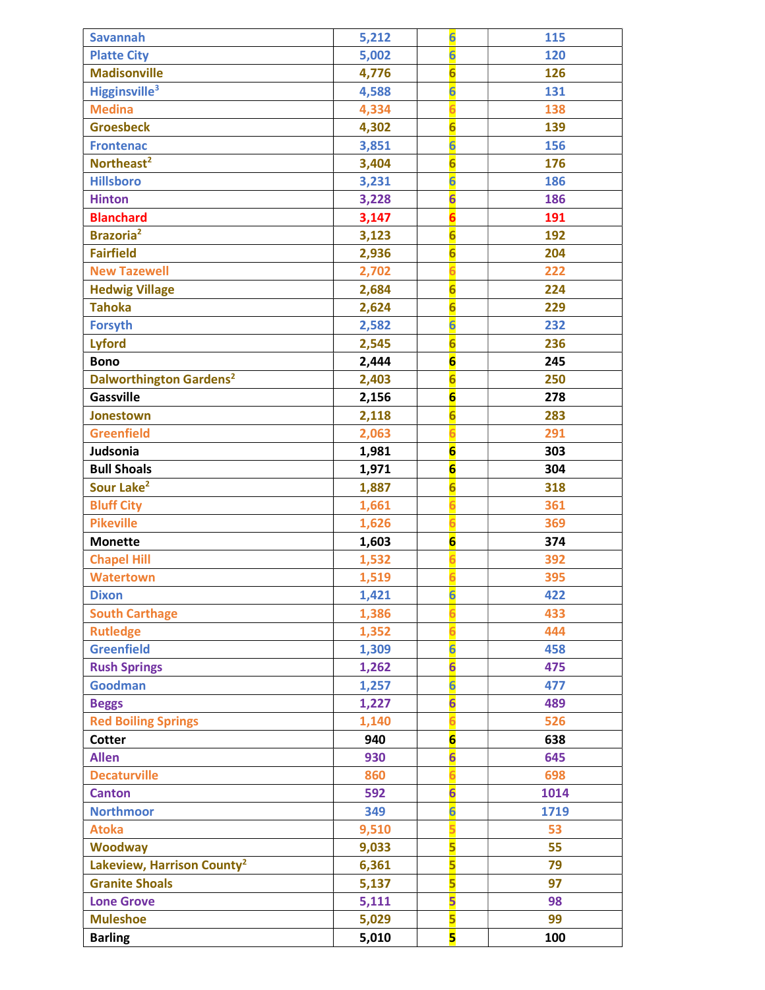| $6\overline{6}$<br><b>Platte City</b><br>120<br>5,002<br>$\overline{\mathbf{6}}$<br><b>Madisonville</b><br>4,776<br>126<br>$\overline{6}$<br>Higginsville <sup>3</sup><br>131<br>4,588<br>$\overline{6}$<br><b>Medina</b><br>138<br>4,334<br>$\overline{6}$<br><b>Groesbeck</b><br>139<br>4,302<br>$6\overline{6}$<br>3,851<br>156<br><b>Frontenac</b><br>$\overline{\mathbf{6}}$<br>Northeast <sup>2</sup><br>176<br>3,404<br>$\overline{6}$<br><b>Hillsboro</b><br>186<br>3,231<br>$6\overline{6}$<br>3,228<br><b>Hinton</b><br>186<br>$\overline{\mathbf{6}}$<br><b>Blanchard</b><br>191<br>3,147<br>Brazoria <sup>2</sup><br>$6\overline{6}$<br>192<br>3,123<br>$\overline{\mathbf{6}}$<br><b>Fairfield</b><br>2,936<br>204<br><b>New Tazewell</b><br>6<br>222<br>2,702<br>$6\overline{6}$<br>2,684<br>224<br><b>Hedwig Village</b><br>$\overline{6}$<br><b>Tahoka</b><br>229<br>2,624<br>$6\overline{6}$<br><b>Forsyth</b><br>232<br>2,582<br>$\overline{\mathbf{6}}$<br><b>Lyford</b><br>236<br>2,545<br>$6\overline{6}$<br><b>Bono</b><br>245<br>2,444<br>$\overline{6}$<br>Dalworthington Gardens <sup>2</sup><br>250<br>2,403<br>$6\overline{6}$<br><b>Gassville</b><br>2,156<br>278<br>$6\overline{6}$<br>2,118<br>283<br>Jonestown<br><b>Greenfield</b><br>$\overline{6}$<br>2,063<br>291<br>$6\overline{6}$<br>Judsonia<br>303<br>1,981<br>$6\overline{6}$<br><b>Bull Shoals</b><br>1,971<br>304<br>$\overline{6}$<br>Sour Lake <sup>2</sup><br>318<br>1,887<br><b>Bluff City</b><br>1,661<br>$\overline{6}$<br>361<br>$\overline{6}$<br><b>Pikeville</b><br>369<br>1,626<br>$6\overline{6}$<br><b>Monette</b><br>374<br>1,603<br><b>Chapel Hill</b><br>1,532<br>6<br>392<br><b>Watertown</b><br>395<br>1,519<br>422<br><b>Dixon</b><br>1,421<br>$\overline{6}$<br><b>South Carthage</b><br>433<br>1,386<br><b>Rutledge</b><br>1,352<br>444<br>$6\overline{6}$<br><b>Greenfield</b><br>1,309<br>458<br>$6\overline{6}$<br><b>Rush Springs</b><br>1,262<br>475<br>$6\overline{6}$<br><b>Goodman</b><br>477<br>1,257<br>$6\overline{6}$<br>1,227<br>489<br><b>Beggs</b><br><b>Red Boiling Springs</b><br>526<br>1,140<br>$6\overline{6}$<br>940<br>638<br><b>Cotter</b><br>$6\overline{6}$<br><b>Allen</b><br>930<br>645<br><b>Decaturville</b><br>860<br>$\overline{6}$<br>698<br>$6\overline{6}$<br>592<br>1014<br><b>Canton</b><br>$6\overline{6}$<br><b>Northmoor</b><br>349<br>1719<br>9,510<br>53<br><b>Atoka</b><br>$\overline{\mathbf{5}}$<br><b>Woodway</b><br>55<br>9,033<br>5<br>Lakeview, Harrison County <sup>2</sup><br>79<br>6,361<br>5<br><b>Granite Shoals</b><br>97<br>5,137<br>$\overline{\mathbf{5}}$<br><b>Lone Grove</b><br>98<br>5,111<br>5<br>5,029<br><b>Muleshoe</b><br>99<br>5<br><b>Barling</b><br>5,010<br>100 | <b>Savannah</b> | 5,212 | $6\overline{6}$ | 115 |
|-------------------------------------------------------------------------------------------------------------------------------------------------------------------------------------------------------------------------------------------------------------------------------------------------------------------------------------------------------------------------------------------------------------------------------------------------------------------------------------------------------------------------------------------------------------------------------------------------------------------------------------------------------------------------------------------------------------------------------------------------------------------------------------------------------------------------------------------------------------------------------------------------------------------------------------------------------------------------------------------------------------------------------------------------------------------------------------------------------------------------------------------------------------------------------------------------------------------------------------------------------------------------------------------------------------------------------------------------------------------------------------------------------------------------------------------------------------------------------------------------------------------------------------------------------------------------------------------------------------------------------------------------------------------------------------------------------------------------------------------------------------------------------------------------------------------------------------------------------------------------------------------------------------------------------------------------------------------------------------------------------------------------------------------------------------------------------------------------------------------------------------------------------------------------------------------------------------------------------------------------------------------------------------------------------------------------------------------------------------------------------------------------------------------------------------------------------------------------------------------------------------------------------------------------------------------------------------------------------------------------------------------------------------------------------------------------------------------------------------------------------|-----------------|-------|-----------------|-----|
|                                                                                                                                                                                                                                                                                                                                                                                                                                                                                                                                                                                                                                                                                                                                                                                                                                                                                                                                                                                                                                                                                                                                                                                                                                                                                                                                                                                                                                                                                                                                                                                                                                                                                                                                                                                                                                                                                                                                                                                                                                                                                                                                                                                                                                                                                                                                                                                                                                                                                                                                                                                                                                                                                                                                                       |                 |       |                 |     |
|                                                                                                                                                                                                                                                                                                                                                                                                                                                                                                                                                                                                                                                                                                                                                                                                                                                                                                                                                                                                                                                                                                                                                                                                                                                                                                                                                                                                                                                                                                                                                                                                                                                                                                                                                                                                                                                                                                                                                                                                                                                                                                                                                                                                                                                                                                                                                                                                                                                                                                                                                                                                                                                                                                                                                       |                 |       |                 |     |
|                                                                                                                                                                                                                                                                                                                                                                                                                                                                                                                                                                                                                                                                                                                                                                                                                                                                                                                                                                                                                                                                                                                                                                                                                                                                                                                                                                                                                                                                                                                                                                                                                                                                                                                                                                                                                                                                                                                                                                                                                                                                                                                                                                                                                                                                                                                                                                                                                                                                                                                                                                                                                                                                                                                                                       |                 |       |                 |     |
|                                                                                                                                                                                                                                                                                                                                                                                                                                                                                                                                                                                                                                                                                                                                                                                                                                                                                                                                                                                                                                                                                                                                                                                                                                                                                                                                                                                                                                                                                                                                                                                                                                                                                                                                                                                                                                                                                                                                                                                                                                                                                                                                                                                                                                                                                                                                                                                                                                                                                                                                                                                                                                                                                                                                                       |                 |       |                 |     |
|                                                                                                                                                                                                                                                                                                                                                                                                                                                                                                                                                                                                                                                                                                                                                                                                                                                                                                                                                                                                                                                                                                                                                                                                                                                                                                                                                                                                                                                                                                                                                                                                                                                                                                                                                                                                                                                                                                                                                                                                                                                                                                                                                                                                                                                                                                                                                                                                                                                                                                                                                                                                                                                                                                                                                       |                 |       |                 |     |
|                                                                                                                                                                                                                                                                                                                                                                                                                                                                                                                                                                                                                                                                                                                                                                                                                                                                                                                                                                                                                                                                                                                                                                                                                                                                                                                                                                                                                                                                                                                                                                                                                                                                                                                                                                                                                                                                                                                                                                                                                                                                                                                                                                                                                                                                                                                                                                                                                                                                                                                                                                                                                                                                                                                                                       |                 |       |                 |     |
|                                                                                                                                                                                                                                                                                                                                                                                                                                                                                                                                                                                                                                                                                                                                                                                                                                                                                                                                                                                                                                                                                                                                                                                                                                                                                                                                                                                                                                                                                                                                                                                                                                                                                                                                                                                                                                                                                                                                                                                                                                                                                                                                                                                                                                                                                                                                                                                                                                                                                                                                                                                                                                                                                                                                                       |                 |       |                 |     |
|                                                                                                                                                                                                                                                                                                                                                                                                                                                                                                                                                                                                                                                                                                                                                                                                                                                                                                                                                                                                                                                                                                                                                                                                                                                                                                                                                                                                                                                                                                                                                                                                                                                                                                                                                                                                                                                                                                                                                                                                                                                                                                                                                                                                                                                                                                                                                                                                                                                                                                                                                                                                                                                                                                                                                       |                 |       |                 |     |
|                                                                                                                                                                                                                                                                                                                                                                                                                                                                                                                                                                                                                                                                                                                                                                                                                                                                                                                                                                                                                                                                                                                                                                                                                                                                                                                                                                                                                                                                                                                                                                                                                                                                                                                                                                                                                                                                                                                                                                                                                                                                                                                                                                                                                                                                                                                                                                                                                                                                                                                                                                                                                                                                                                                                                       |                 |       |                 |     |
|                                                                                                                                                                                                                                                                                                                                                                                                                                                                                                                                                                                                                                                                                                                                                                                                                                                                                                                                                                                                                                                                                                                                                                                                                                                                                                                                                                                                                                                                                                                                                                                                                                                                                                                                                                                                                                                                                                                                                                                                                                                                                                                                                                                                                                                                                                                                                                                                                                                                                                                                                                                                                                                                                                                                                       |                 |       |                 |     |
|                                                                                                                                                                                                                                                                                                                                                                                                                                                                                                                                                                                                                                                                                                                                                                                                                                                                                                                                                                                                                                                                                                                                                                                                                                                                                                                                                                                                                                                                                                                                                                                                                                                                                                                                                                                                                                                                                                                                                                                                                                                                                                                                                                                                                                                                                                                                                                                                                                                                                                                                                                                                                                                                                                                                                       |                 |       |                 |     |
|                                                                                                                                                                                                                                                                                                                                                                                                                                                                                                                                                                                                                                                                                                                                                                                                                                                                                                                                                                                                                                                                                                                                                                                                                                                                                                                                                                                                                                                                                                                                                                                                                                                                                                                                                                                                                                                                                                                                                                                                                                                                                                                                                                                                                                                                                                                                                                                                                                                                                                                                                                                                                                                                                                                                                       |                 |       |                 |     |
|                                                                                                                                                                                                                                                                                                                                                                                                                                                                                                                                                                                                                                                                                                                                                                                                                                                                                                                                                                                                                                                                                                                                                                                                                                                                                                                                                                                                                                                                                                                                                                                                                                                                                                                                                                                                                                                                                                                                                                                                                                                                                                                                                                                                                                                                                                                                                                                                                                                                                                                                                                                                                                                                                                                                                       |                 |       |                 |     |
|                                                                                                                                                                                                                                                                                                                                                                                                                                                                                                                                                                                                                                                                                                                                                                                                                                                                                                                                                                                                                                                                                                                                                                                                                                                                                                                                                                                                                                                                                                                                                                                                                                                                                                                                                                                                                                                                                                                                                                                                                                                                                                                                                                                                                                                                                                                                                                                                                                                                                                                                                                                                                                                                                                                                                       |                 |       |                 |     |
|                                                                                                                                                                                                                                                                                                                                                                                                                                                                                                                                                                                                                                                                                                                                                                                                                                                                                                                                                                                                                                                                                                                                                                                                                                                                                                                                                                                                                                                                                                                                                                                                                                                                                                                                                                                                                                                                                                                                                                                                                                                                                                                                                                                                                                                                                                                                                                                                                                                                                                                                                                                                                                                                                                                                                       |                 |       |                 |     |
|                                                                                                                                                                                                                                                                                                                                                                                                                                                                                                                                                                                                                                                                                                                                                                                                                                                                                                                                                                                                                                                                                                                                                                                                                                                                                                                                                                                                                                                                                                                                                                                                                                                                                                                                                                                                                                                                                                                                                                                                                                                                                                                                                                                                                                                                                                                                                                                                                                                                                                                                                                                                                                                                                                                                                       |                 |       |                 |     |
|                                                                                                                                                                                                                                                                                                                                                                                                                                                                                                                                                                                                                                                                                                                                                                                                                                                                                                                                                                                                                                                                                                                                                                                                                                                                                                                                                                                                                                                                                                                                                                                                                                                                                                                                                                                                                                                                                                                                                                                                                                                                                                                                                                                                                                                                                                                                                                                                                                                                                                                                                                                                                                                                                                                                                       |                 |       |                 |     |
|                                                                                                                                                                                                                                                                                                                                                                                                                                                                                                                                                                                                                                                                                                                                                                                                                                                                                                                                                                                                                                                                                                                                                                                                                                                                                                                                                                                                                                                                                                                                                                                                                                                                                                                                                                                                                                                                                                                                                                                                                                                                                                                                                                                                                                                                                                                                                                                                                                                                                                                                                                                                                                                                                                                                                       |                 |       |                 |     |
|                                                                                                                                                                                                                                                                                                                                                                                                                                                                                                                                                                                                                                                                                                                                                                                                                                                                                                                                                                                                                                                                                                                                                                                                                                                                                                                                                                                                                                                                                                                                                                                                                                                                                                                                                                                                                                                                                                                                                                                                                                                                                                                                                                                                                                                                                                                                                                                                                                                                                                                                                                                                                                                                                                                                                       |                 |       |                 |     |
|                                                                                                                                                                                                                                                                                                                                                                                                                                                                                                                                                                                                                                                                                                                                                                                                                                                                                                                                                                                                                                                                                                                                                                                                                                                                                                                                                                                                                                                                                                                                                                                                                                                                                                                                                                                                                                                                                                                                                                                                                                                                                                                                                                                                                                                                                                                                                                                                                                                                                                                                                                                                                                                                                                                                                       |                 |       |                 |     |
|                                                                                                                                                                                                                                                                                                                                                                                                                                                                                                                                                                                                                                                                                                                                                                                                                                                                                                                                                                                                                                                                                                                                                                                                                                                                                                                                                                                                                                                                                                                                                                                                                                                                                                                                                                                                                                                                                                                                                                                                                                                                                                                                                                                                                                                                                                                                                                                                                                                                                                                                                                                                                                                                                                                                                       |                 |       |                 |     |
|                                                                                                                                                                                                                                                                                                                                                                                                                                                                                                                                                                                                                                                                                                                                                                                                                                                                                                                                                                                                                                                                                                                                                                                                                                                                                                                                                                                                                                                                                                                                                                                                                                                                                                                                                                                                                                                                                                                                                                                                                                                                                                                                                                                                                                                                                                                                                                                                                                                                                                                                                                                                                                                                                                                                                       |                 |       |                 |     |
|                                                                                                                                                                                                                                                                                                                                                                                                                                                                                                                                                                                                                                                                                                                                                                                                                                                                                                                                                                                                                                                                                                                                                                                                                                                                                                                                                                                                                                                                                                                                                                                                                                                                                                                                                                                                                                                                                                                                                                                                                                                                                                                                                                                                                                                                                                                                                                                                                                                                                                                                                                                                                                                                                                                                                       |                 |       |                 |     |
|                                                                                                                                                                                                                                                                                                                                                                                                                                                                                                                                                                                                                                                                                                                                                                                                                                                                                                                                                                                                                                                                                                                                                                                                                                                                                                                                                                                                                                                                                                                                                                                                                                                                                                                                                                                                                                                                                                                                                                                                                                                                                                                                                                                                                                                                                                                                                                                                                                                                                                                                                                                                                                                                                                                                                       |                 |       |                 |     |
|                                                                                                                                                                                                                                                                                                                                                                                                                                                                                                                                                                                                                                                                                                                                                                                                                                                                                                                                                                                                                                                                                                                                                                                                                                                                                                                                                                                                                                                                                                                                                                                                                                                                                                                                                                                                                                                                                                                                                                                                                                                                                                                                                                                                                                                                                                                                                                                                                                                                                                                                                                                                                                                                                                                                                       |                 |       |                 |     |
|                                                                                                                                                                                                                                                                                                                                                                                                                                                                                                                                                                                                                                                                                                                                                                                                                                                                                                                                                                                                                                                                                                                                                                                                                                                                                                                                                                                                                                                                                                                                                                                                                                                                                                                                                                                                                                                                                                                                                                                                                                                                                                                                                                                                                                                                                                                                                                                                                                                                                                                                                                                                                                                                                                                                                       |                 |       |                 |     |
|                                                                                                                                                                                                                                                                                                                                                                                                                                                                                                                                                                                                                                                                                                                                                                                                                                                                                                                                                                                                                                                                                                                                                                                                                                                                                                                                                                                                                                                                                                                                                                                                                                                                                                                                                                                                                                                                                                                                                                                                                                                                                                                                                                                                                                                                                                                                                                                                                                                                                                                                                                                                                                                                                                                                                       |                 |       |                 |     |
|                                                                                                                                                                                                                                                                                                                                                                                                                                                                                                                                                                                                                                                                                                                                                                                                                                                                                                                                                                                                                                                                                                                                                                                                                                                                                                                                                                                                                                                                                                                                                                                                                                                                                                                                                                                                                                                                                                                                                                                                                                                                                                                                                                                                                                                                                                                                                                                                                                                                                                                                                                                                                                                                                                                                                       |                 |       |                 |     |
|                                                                                                                                                                                                                                                                                                                                                                                                                                                                                                                                                                                                                                                                                                                                                                                                                                                                                                                                                                                                                                                                                                                                                                                                                                                                                                                                                                                                                                                                                                                                                                                                                                                                                                                                                                                                                                                                                                                                                                                                                                                                                                                                                                                                                                                                                                                                                                                                                                                                                                                                                                                                                                                                                                                                                       |                 |       |                 |     |
|                                                                                                                                                                                                                                                                                                                                                                                                                                                                                                                                                                                                                                                                                                                                                                                                                                                                                                                                                                                                                                                                                                                                                                                                                                                                                                                                                                                                                                                                                                                                                                                                                                                                                                                                                                                                                                                                                                                                                                                                                                                                                                                                                                                                                                                                                                                                                                                                                                                                                                                                                                                                                                                                                                                                                       |                 |       |                 |     |
|                                                                                                                                                                                                                                                                                                                                                                                                                                                                                                                                                                                                                                                                                                                                                                                                                                                                                                                                                                                                                                                                                                                                                                                                                                                                                                                                                                                                                                                                                                                                                                                                                                                                                                                                                                                                                                                                                                                                                                                                                                                                                                                                                                                                                                                                                                                                                                                                                                                                                                                                                                                                                                                                                                                                                       |                 |       |                 |     |
|                                                                                                                                                                                                                                                                                                                                                                                                                                                                                                                                                                                                                                                                                                                                                                                                                                                                                                                                                                                                                                                                                                                                                                                                                                                                                                                                                                                                                                                                                                                                                                                                                                                                                                                                                                                                                                                                                                                                                                                                                                                                                                                                                                                                                                                                                                                                                                                                                                                                                                                                                                                                                                                                                                                                                       |                 |       |                 |     |
|                                                                                                                                                                                                                                                                                                                                                                                                                                                                                                                                                                                                                                                                                                                                                                                                                                                                                                                                                                                                                                                                                                                                                                                                                                                                                                                                                                                                                                                                                                                                                                                                                                                                                                                                                                                                                                                                                                                                                                                                                                                                                                                                                                                                                                                                                                                                                                                                                                                                                                                                                                                                                                                                                                                                                       |                 |       |                 |     |
|                                                                                                                                                                                                                                                                                                                                                                                                                                                                                                                                                                                                                                                                                                                                                                                                                                                                                                                                                                                                                                                                                                                                                                                                                                                                                                                                                                                                                                                                                                                                                                                                                                                                                                                                                                                                                                                                                                                                                                                                                                                                                                                                                                                                                                                                                                                                                                                                                                                                                                                                                                                                                                                                                                                                                       |                 |       |                 |     |
|                                                                                                                                                                                                                                                                                                                                                                                                                                                                                                                                                                                                                                                                                                                                                                                                                                                                                                                                                                                                                                                                                                                                                                                                                                                                                                                                                                                                                                                                                                                                                                                                                                                                                                                                                                                                                                                                                                                                                                                                                                                                                                                                                                                                                                                                                                                                                                                                                                                                                                                                                                                                                                                                                                                                                       |                 |       |                 |     |
|                                                                                                                                                                                                                                                                                                                                                                                                                                                                                                                                                                                                                                                                                                                                                                                                                                                                                                                                                                                                                                                                                                                                                                                                                                                                                                                                                                                                                                                                                                                                                                                                                                                                                                                                                                                                                                                                                                                                                                                                                                                                                                                                                                                                                                                                                                                                                                                                                                                                                                                                                                                                                                                                                                                                                       |                 |       |                 |     |
|                                                                                                                                                                                                                                                                                                                                                                                                                                                                                                                                                                                                                                                                                                                                                                                                                                                                                                                                                                                                                                                                                                                                                                                                                                                                                                                                                                                                                                                                                                                                                                                                                                                                                                                                                                                                                                                                                                                                                                                                                                                                                                                                                                                                                                                                                                                                                                                                                                                                                                                                                                                                                                                                                                                                                       |                 |       |                 |     |
|                                                                                                                                                                                                                                                                                                                                                                                                                                                                                                                                                                                                                                                                                                                                                                                                                                                                                                                                                                                                                                                                                                                                                                                                                                                                                                                                                                                                                                                                                                                                                                                                                                                                                                                                                                                                                                                                                                                                                                                                                                                                                                                                                                                                                                                                                                                                                                                                                                                                                                                                                                                                                                                                                                                                                       |                 |       |                 |     |
|                                                                                                                                                                                                                                                                                                                                                                                                                                                                                                                                                                                                                                                                                                                                                                                                                                                                                                                                                                                                                                                                                                                                                                                                                                                                                                                                                                                                                                                                                                                                                                                                                                                                                                                                                                                                                                                                                                                                                                                                                                                                                                                                                                                                                                                                                                                                                                                                                                                                                                                                                                                                                                                                                                                                                       |                 |       |                 |     |
|                                                                                                                                                                                                                                                                                                                                                                                                                                                                                                                                                                                                                                                                                                                                                                                                                                                                                                                                                                                                                                                                                                                                                                                                                                                                                                                                                                                                                                                                                                                                                                                                                                                                                                                                                                                                                                                                                                                                                                                                                                                                                                                                                                                                                                                                                                                                                                                                                                                                                                                                                                                                                                                                                                                                                       |                 |       |                 |     |
|                                                                                                                                                                                                                                                                                                                                                                                                                                                                                                                                                                                                                                                                                                                                                                                                                                                                                                                                                                                                                                                                                                                                                                                                                                                                                                                                                                                                                                                                                                                                                                                                                                                                                                                                                                                                                                                                                                                                                                                                                                                                                                                                                                                                                                                                                                                                                                                                                                                                                                                                                                                                                                                                                                                                                       |                 |       |                 |     |
|                                                                                                                                                                                                                                                                                                                                                                                                                                                                                                                                                                                                                                                                                                                                                                                                                                                                                                                                                                                                                                                                                                                                                                                                                                                                                                                                                                                                                                                                                                                                                                                                                                                                                                                                                                                                                                                                                                                                                                                                                                                                                                                                                                                                                                                                                                                                                                                                                                                                                                                                                                                                                                                                                                                                                       |                 |       |                 |     |
|                                                                                                                                                                                                                                                                                                                                                                                                                                                                                                                                                                                                                                                                                                                                                                                                                                                                                                                                                                                                                                                                                                                                                                                                                                                                                                                                                                                                                                                                                                                                                                                                                                                                                                                                                                                                                                                                                                                                                                                                                                                                                                                                                                                                                                                                                                                                                                                                                                                                                                                                                                                                                                                                                                                                                       |                 |       |                 |     |
|                                                                                                                                                                                                                                                                                                                                                                                                                                                                                                                                                                                                                                                                                                                                                                                                                                                                                                                                                                                                                                                                                                                                                                                                                                                                                                                                                                                                                                                                                                                                                                                                                                                                                                                                                                                                                                                                                                                                                                                                                                                                                                                                                                                                                                                                                                                                                                                                                                                                                                                                                                                                                                                                                                                                                       |                 |       |                 |     |
|                                                                                                                                                                                                                                                                                                                                                                                                                                                                                                                                                                                                                                                                                                                                                                                                                                                                                                                                                                                                                                                                                                                                                                                                                                                                                                                                                                                                                                                                                                                                                                                                                                                                                                                                                                                                                                                                                                                                                                                                                                                                                                                                                                                                                                                                                                                                                                                                                                                                                                                                                                                                                                                                                                                                                       |                 |       |                 |     |
|                                                                                                                                                                                                                                                                                                                                                                                                                                                                                                                                                                                                                                                                                                                                                                                                                                                                                                                                                                                                                                                                                                                                                                                                                                                                                                                                                                                                                                                                                                                                                                                                                                                                                                                                                                                                                                                                                                                                                                                                                                                                                                                                                                                                                                                                                                                                                                                                                                                                                                                                                                                                                                                                                                                                                       |                 |       |                 |     |
|                                                                                                                                                                                                                                                                                                                                                                                                                                                                                                                                                                                                                                                                                                                                                                                                                                                                                                                                                                                                                                                                                                                                                                                                                                                                                                                                                                                                                                                                                                                                                                                                                                                                                                                                                                                                                                                                                                                                                                                                                                                                                                                                                                                                                                                                                                                                                                                                                                                                                                                                                                                                                                                                                                                                                       |                 |       |                 |     |
|                                                                                                                                                                                                                                                                                                                                                                                                                                                                                                                                                                                                                                                                                                                                                                                                                                                                                                                                                                                                                                                                                                                                                                                                                                                                                                                                                                                                                                                                                                                                                                                                                                                                                                                                                                                                                                                                                                                                                                                                                                                                                                                                                                                                                                                                                                                                                                                                                                                                                                                                                                                                                                                                                                                                                       |                 |       |                 |     |
|                                                                                                                                                                                                                                                                                                                                                                                                                                                                                                                                                                                                                                                                                                                                                                                                                                                                                                                                                                                                                                                                                                                                                                                                                                                                                                                                                                                                                                                                                                                                                                                                                                                                                                                                                                                                                                                                                                                                                                                                                                                                                                                                                                                                                                                                                                                                                                                                                                                                                                                                                                                                                                                                                                                                                       |                 |       |                 |     |
|                                                                                                                                                                                                                                                                                                                                                                                                                                                                                                                                                                                                                                                                                                                                                                                                                                                                                                                                                                                                                                                                                                                                                                                                                                                                                                                                                                                                                                                                                                                                                                                                                                                                                                                                                                                                                                                                                                                                                                                                                                                                                                                                                                                                                                                                                                                                                                                                                                                                                                                                                                                                                                                                                                                                                       |                 |       |                 |     |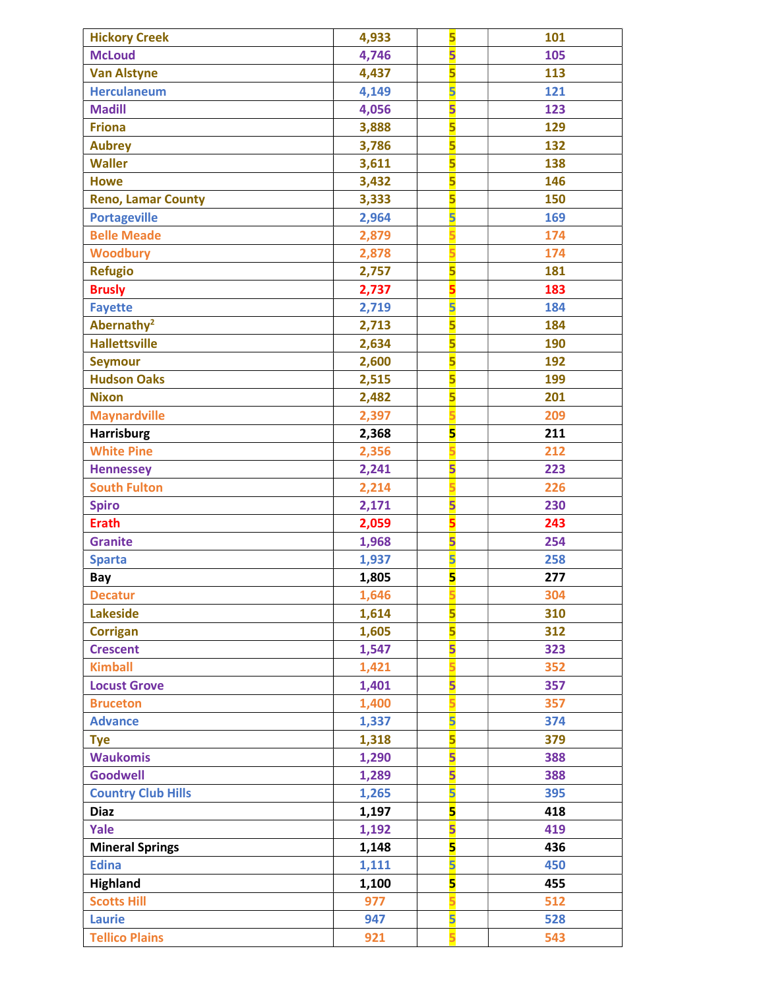| <b>Hickory Creek</b>      | 4,933 | 5                       | 101 |
|---------------------------|-------|-------------------------|-----|
| <b>McLoud</b>             | 4,746 | 5                       | 105 |
| <b>Van Alstyne</b>        | 4,437 | 5                       | 113 |
| <b>Herculaneum</b>        | 4,149 | 5                       | 121 |
| <b>Madill</b>             | 4,056 | $\overline{\mathbf{5}}$ | 123 |
| <b>Friona</b>             | 3,888 | 5                       | 129 |
| <b>Aubrey</b>             | 3,786 | 5                       | 132 |
| <b>Waller</b>             | 3,611 | 5                       | 138 |
| <b>Howe</b>               | 3,432 | 5                       | 146 |
| <b>Reno, Lamar County</b> | 3,333 | 5                       | 150 |
| <b>Portageville</b>       | 2,964 | 5                       | 169 |
| <b>Belle Meade</b>        | 2,879 |                         | 174 |
| <b>Woodbury</b>           | 2,878 |                         | 174 |
| <b>Refugio</b>            | 2,757 | 5                       | 181 |
| <b>Brusly</b>             | 2,737 | 5                       | 183 |
| <b>Fayette</b>            | 2,719 | 5                       | 184 |
| Abernathy <sup>2</sup>    | 2,713 | 5                       | 184 |
| <b>Hallettsville</b>      | 2,634 | 5                       | 190 |
| <b>Seymour</b>            | 2,600 | 5                       | 192 |
| <b>Hudson Oaks</b>        | 2,515 | 5                       | 199 |
| <b>Nixon</b>              | 2,482 | 5                       | 201 |
| <b>Maynardville</b>       | 2,397 |                         | 209 |
| <b>Harrisburg</b>         | 2,368 | 5                       | 211 |
| <b>White Pine</b>         | 2,356 |                         | 212 |
| <b>Hennessey</b>          | 2,241 | 5                       | 223 |
| <b>South Fulton</b>       | 2,214 |                         | 226 |
| <b>Spiro</b>              | 2,171 | 5                       | 230 |
| <b>Erath</b>              | 2,059 | 5                       | 243 |
| <b>Granite</b>            | 1,968 | 5                       | 254 |
| <b>Sparta</b>             | 1,937 | $\overline{\mathbf{5}}$ | 258 |
| Bay                       | 1,805 | 5                       | 277 |
| <b>Decatur</b>            | 1,646 |                         | 304 |
| <b>Lakeside</b>           | 1,614 | 5                       | 310 |
| <b>Corrigan</b>           | 1,605 | 5                       | 312 |
| <b>Crescent</b>           | 1,547 | 5                       | 323 |
| <b>Kimball</b>            | 1,421 |                         | 352 |
| <b>Locust Grove</b>       | 1,401 | 5                       | 357 |
| <b>Bruceton</b>           | 1,400 |                         | 357 |
| <b>Advance</b>            | 1,337 | 5                       | 374 |
| <b>Tye</b>                | 1,318 | 5                       | 379 |
| <b>Waukomis</b>           | 1,290 | 5                       | 388 |
| <b>Goodwell</b>           | 1,289 | 5                       | 388 |
| <b>Country Club Hills</b> | 1,265 | 5                       | 395 |
| <b>Diaz</b>               | 1,197 | 5                       | 418 |
| Yale                      | 1,192 | $\overline{\mathbf{5}}$ | 419 |
| <b>Mineral Springs</b>    | 1,148 | 5                       | 436 |
| <b>Edina</b>              | 1,111 | 5                       | 450 |
| <b>Highland</b>           | 1,100 | 5                       | 455 |
| <b>Scotts Hill</b>        | 977   |                         | 512 |
| <b>Laurie</b>             | 947   | 5                       | 528 |
| <b>Tellico Plains</b>     | 921   |                         | 543 |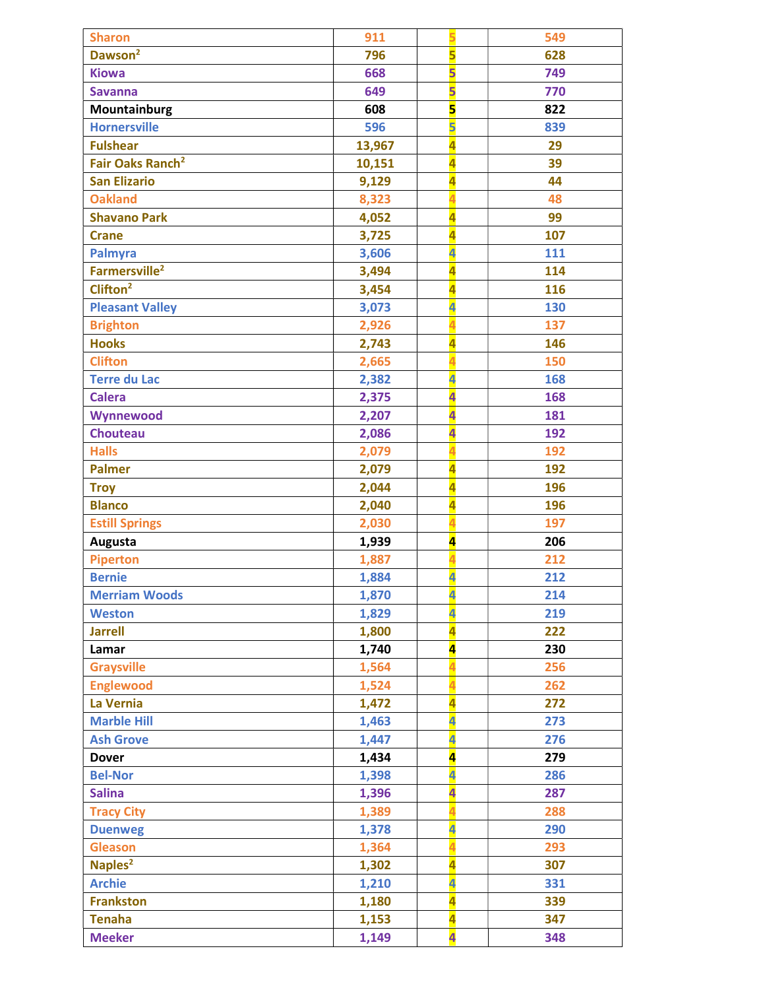| <b>Sharon</b>                | 911    | 5                       | 549 |
|------------------------------|--------|-------------------------|-----|
| Dawson <sup>2</sup>          | 796    | $\overline{\mathbf{5}}$ | 628 |
| <b>Kiowa</b>                 | 668    | 5                       | 749 |
| <b>Savanna</b>               | 649    | 5                       | 770 |
| Mountainburg                 | 608    | $\overline{\mathbf{5}}$ | 822 |
| <b>Hornersville</b>          | 596    | 5                       | 839 |
| <b>Fulshear</b>              | 13,967 | $\overline{\mathbf{4}}$ | 29  |
| Fair Oaks Ranch <sup>2</sup> | 10,151 | 4                       | 39  |
| <b>San Elizario</b>          | 9,129  | 4                       | 44  |
| <b>Oakland</b>               | 8,323  | 4                       | 48  |
| <b>Shavano Park</b>          | 4,052  | 4                       | 99  |
| <b>Crane</b>                 | 3,725  | 4                       | 107 |
| Palmyra                      | 3,606  | 4                       | 111 |
| Farmersville <sup>2</sup>    | 3,494  | 4                       | 114 |
| $Cli$ fton <sup>2</sup>      | 3,454  | 4                       | 116 |
| <b>Pleasant Valley</b>       | 3,073  | 4                       | 130 |
| <b>Brighton</b>              | 2,926  |                         | 137 |
| <b>Hooks</b>                 | 2,743  | 4                       | 146 |
| <b>Clifton</b>               | 2,665  |                         | 150 |
| <b>Terre du Lac</b>          | 2,382  | 4                       | 168 |
| <b>Calera</b>                | 2,375  | $\overline{\mathbf{a}}$ | 168 |
| Wynnewood                    | 2,207  | $\overline{\mathbf{a}}$ | 181 |
| <b>Chouteau</b>              | 2,086  | $\overline{\mathbf{4}}$ | 192 |
| <b>Halls</b>                 | 2,079  |                         | 192 |
| <b>Palmer</b>                | 2,079  | 4                       | 192 |
| <b>Troy</b>                  | 2,044  | $\overline{\mathbf{a}}$ | 196 |
| <b>Blanco</b>                | 2,040  | 4                       | 196 |
| <b>Estill Springs</b>        | 2,030  | 4                       | 197 |
| Augusta                      | 1,939  | $\overline{\mathbf{4}}$ | 206 |
| <b>Piperton</b>              | 1,887  | 4                       | 212 |
| <b>Bernie</b>                | 1,884  | $\overline{\mathbf{a}}$ | 212 |
| <b>Merriam Woods</b>         | 1,870  | $\overline{\mathbf{4}}$ | 214 |
| <b>Weston</b>                | 1,829  | 4                       | 219 |
| <b>Jarrell</b>               | 1,800  | 4                       | 222 |
| Lamar                        | 1,740  | $\overline{\mathbf{4}}$ | 230 |
| <b>Graysville</b>            | 1,564  |                         | 256 |
| <b>Englewood</b>             | 1,524  |                         | 262 |
| La Vernia                    | 1,472  | 4                       | 272 |
| <b>Marble Hill</b>           | 1,463  | 4                       | 273 |
| <b>Ash Grove</b>             | 1,447  | 4                       | 276 |
| <b>Dover</b>                 | 1,434  | $\overline{\mathbf{a}}$ | 279 |
| <b>Bel-Nor</b>               | 1,398  | 4                       | 286 |
| <b>Salina</b>                | 1,396  | 4                       | 287 |
| <b>Tracy City</b>            | 1,389  |                         | 288 |
| <b>Duenweg</b>               | 1,378  | 4                       | 290 |
| <b>Gleason</b>               | 1,364  |                         | 293 |
| Naples <sup>2</sup>          | 1,302  | 4                       | 307 |
| <b>Archie</b>                | 1,210  | 4                       | 331 |
| <b>Frankston</b>             | 1,180  | 4                       | 339 |
| <b>Tenaha</b>                | 1,153  | 4                       | 347 |
| <b>Meeker</b>                | 1,149  | $\overline{\mathbf{a}}$ | 348 |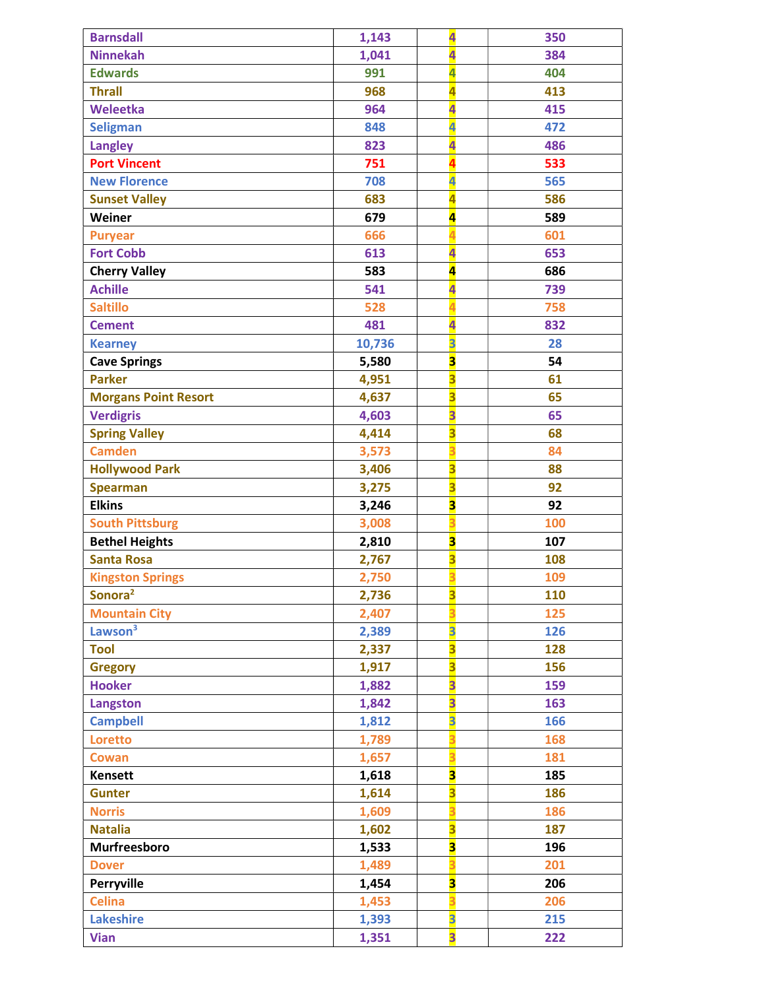| <b>Barnsdall</b>            | 1,143  | $\overline{\mathbf{4}}$                            | 350 |
|-----------------------------|--------|----------------------------------------------------|-----|
| <b>Ninnekah</b>             | 1,041  | $\overline{\mathbf{4}}$                            | 384 |
| <b>Edwards</b>              | 991    | 4                                                  | 404 |
| <b>Thrall</b>               | 968    | $\overline{\mathbf{4}}$                            | 413 |
| Weleetka                    | 964    | $\overline{\mathbf{4}}$                            | 415 |
| <b>Seligman</b>             | 848    | 4                                                  | 472 |
| <b>Langley</b>              | 823    | $\overline{\mathbf{a}}$                            | 486 |
| <b>Port Vincent</b>         | 751    |                                                    | 533 |
| <b>New Florence</b>         | 708    | 4                                                  | 565 |
| <b>Sunset Valley</b>        | 683    | 4                                                  | 586 |
| Weiner                      | 679    | $\overline{\mathbf{a}}$                            | 589 |
| <b>Puryear</b>              | 666    |                                                    | 601 |
| <b>Fort Cobb</b>            | 613    | $\overline{\mathbf{4}}$                            | 653 |
| <b>Cherry Valley</b>        | 583    | $\overline{\mathbf{4}}$                            | 686 |
| <b>Achille</b>              | 541    | $\overline{\mathbf{4}}$                            | 739 |
| <b>Saltillo</b>             | 528    |                                                    | 758 |
| <b>Cement</b>               | 481    | $\overline{\mathbf{a}}$                            | 832 |
| <b>Kearney</b>              | 10,736 | $\overline{\mathbf{3}}$                            | 28  |
| <b>Cave Springs</b>         | 5,580  | $\overline{\mathbf{3}}$                            | 54  |
| <b>Parker</b>               | 4,951  | $\overline{\mathbf{3}}$                            | 61  |
| <b>Morgans Point Resort</b> | 4,637  | $\overline{\mathbf{3}}$                            | 65  |
| <b>Verdigris</b>            | 4,603  | $\overline{\mathbf{3}}$                            | 65  |
| <b>Spring Valley</b>        | 4,414  | $\overline{\mathbf{3}}$                            | 68  |
| <b>Camden</b>               | 3,573  |                                                    | 84  |
| <b>Hollywood Park</b>       | 3,406  | $\overline{\mathbf{3}}$                            | 88  |
| <b>Spearman</b>             | 3,275  | $\overline{\mathbf{3}}$                            | 92  |
| <b>Elkins</b>               | 3,246  | $\overline{\mathbf{3}}$                            | 92  |
| <b>South Pittsburg</b>      | 3,008  |                                                    | 100 |
| <b>Bethel Heights</b>       | 2,810  | $\overline{\mathbf{3}}$                            | 107 |
| <b>Santa Rosa</b>           | 2,767  | $\overline{\mathbf{3}}$                            | 108 |
| <b>Kingston Springs</b>     | 2,750  | $\overline{\mathbf{3}}$                            | 109 |
| Sonora <sup>2</sup>         | 2,736  | 3                                                  | 110 |
| <b>Mountain City</b>        | 2,407  |                                                    | 125 |
| Lawson <sup>3</sup>         | 2,389  | $\overline{\mathbf{3}}$                            | 126 |
| <b>Tool</b>                 | 2,337  | $\overline{\mathbf{3}}$                            | 128 |
| <b>Gregory</b>              | 1,917  | $\overline{\mathbf{3}}$                            | 156 |
| <b>Hooker</b>               | 1,882  | $\overline{\mathbf{3}}$                            | 159 |
| Langston                    | 1,842  | $\overline{\mathbf{3}}$                            | 163 |
| <b>Campbell</b>             | 1,812  | 3                                                  | 166 |
| Loretto                     | 1,789  |                                                    | 168 |
| Cowan                       | 1,657  |                                                    | 181 |
| <b>Kensett</b>              | 1,618  | $\overline{\mathbf{3}}$                            | 185 |
| <b>Gunter</b>               | 1,614  | $\overline{\mathbf{3}}$                            | 186 |
| <b>Norris</b>               | 1,609  |                                                    | 186 |
| <b>Natalia</b>              | 1,602  | $\overline{\mathbf{3}}$                            | 187 |
| Murfreesboro                | 1,533  | $\overline{\mathbf{3}}$                            | 196 |
| <b>Dover</b>                | 1,489  |                                                    | 201 |
| Perryville                  |        |                                                    | 206 |
|                             | 1,454  | 3                                                  |     |
| <b>Celina</b>               | 1,453  |                                                    | 206 |
| <b>Lakeshire</b>            | 1,393  | $\overline{\mathbf{3}}$<br>$\overline{\mathbf{3}}$ | 215 |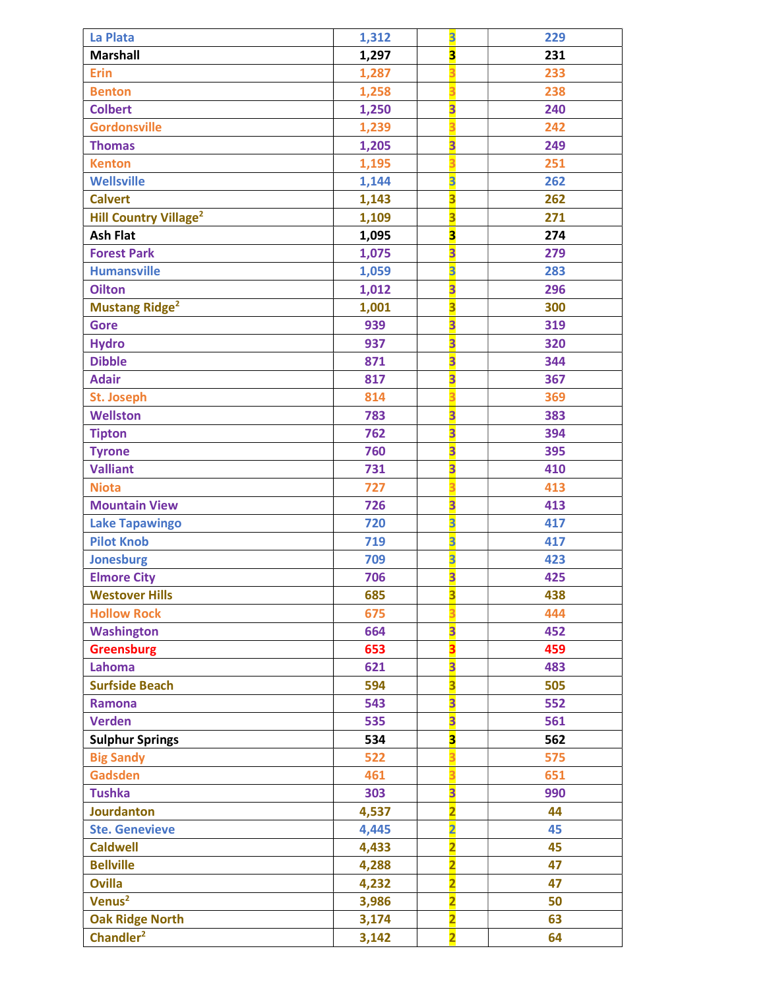| La Plata                                | 1,312 | $\overline{\mathbf{3}}$ | 229 |
|-----------------------------------------|-------|-------------------------|-----|
| <b>Marshall</b>                         | 1,297 | $\overline{\mathbf{3}}$ | 231 |
| <b>Erin</b>                             | 1,287 |                         | 233 |
| <b>Benton</b>                           | 1,258 |                         | 238 |
| <b>Colbert</b>                          | 1,250 | $\overline{\mathbf{3}}$ | 240 |
| <b>Gordonsville</b>                     | 1,239 |                         | 242 |
| <b>Thomas</b>                           | 1,205 | $\overline{\mathbf{3}}$ | 249 |
| <b>Kenton</b>                           | 1,195 |                         | 251 |
| <b>Wellsville</b>                       | 1,144 | $\overline{\mathbf{3}}$ | 262 |
| <b>Calvert</b>                          | 1,143 | $\overline{\mathbf{3}}$ | 262 |
| <b>Hill Country Village<sup>2</sup></b> | 1,109 | $\overline{\mathbf{3}}$ | 271 |
| <b>Ash Flat</b>                         | 1,095 | $\overline{\mathbf{3}}$ | 274 |
| <b>Forest Park</b>                      | 1,075 | $\overline{\mathbf{3}}$ | 279 |
| <b>Humansville</b>                      | 1,059 | 3                       | 283 |
| <b>Oilton</b>                           | 1,012 | $\overline{\mathbf{3}}$ | 296 |
| <b>Mustang Ridge<sup>2</sup></b>        | 1,001 | $\overline{\mathbf{3}}$ | 300 |
| <b>Gore</b>                             | 939   | $\overline{\mathbf{3}}$ | 319 |
| <b>Hydro</b>                            | 937   | $\overline{\mathbf{3}}$ | 320 |
| <b>Dibble</b>                           | 871   | $\overline{\mathbf{3}}$ | 344 |
| <b>Adair</b>                            | 817   | $\overline{\mathbf{3}}$ | 367 |
| <b>St. Joseph</b>                       | 814   |                         | 369 |
| <b>Wellston</b>                         | 783   | $\overline{\mathbf{3}}$ | 383 |
| <b>Tipton</b>                           | 762   | $\overline{\mathbf{3}}$ | 394 |
| <b>Tyrone</b>                           | 760   | $\overline{\mathbf{3}}$ | 395 |
| <b>Valliant</b>                         | 731   | $\overline{\mathbf{3}}$ | 410 |
| <b>Niota</b>                            | 727   |                         | 413 |
| <b>Mountain View</b>                    | 726   | $\overline{\mathbf{3}}$ | 413 |
| <b>Lake Tapawingo</b>                   | 720   | $\overline{\mathbf{3}}$ | 417 |
| <b>Pilot Knob</b>                       | 719   | $\overline{\mathbf{3}}$ | 417 |
| <b>Jonesburg</b>                        | 709   | $\overline{\mathbf{3}}$ | 423 |
| <b>Elmore City</b>                      | 706   | $\overline{\mathbf{3}}$ | 425 |
| <b>Westover Hills</b>                   | 685   | 3                       | 438 |
| <b>Hollow Rock</b>                      | 675   |                         | 444 |
| <b>Washington</b>                       | 664   | 3                       | 452 |
| <b>Greensburg</b>                       | 653   | 3                       | 459 |
| Lahoma                                  | 621   | $\overline{\mathbf{3}}$ | 483 |
| <b>Surfside Beach</b>                   | 594   | $\overline{\mathbf{3}}$ | 505 |
| <b>Ramona</b>                           | 543   | $\overline{\mathbf{3}}$ | 552 |
| <b>Verden</b>                           | 535   | $\overline{\mathbf{3}}$ | 561 |
| <b>Sulphur Springs</b>                  | 534   | 3                       | 562 |
| <b>Big Sandy</b>                        | 522   |                         | 575 |
| <b>Gadsden</b>                          | 461   |                         | 651 |
| <b>Tushka</b>                           | 303   | $\overline{\mathbf{3}}$ | 990 |
| <b>Jourdanton</b>                       | 4,537 | $\overline{\mathbf{2}}$ | 44  |
| <b>Ste. Genevieve</b>                   | 4,445 | $\overline{\mathbf{2}}$ | 45  |
| <b>Caldwell</b>                         | 4,433 | $\overline{\mathbf{2}}$ | 45  |
| <b>Bellville</b>                        | 4,288 | $\overline{\mathbf{2}}$ | 47  |
| <b>Ovilla</b>                           | 4,232 | $\overline{\mathbf{2}}$ | 47  |
| Venus <sup>2</sup>                      | 3,986 | $\overline{\mathbf{2}}$ | 50  |
| <b>Oak Ridge North</b>                  | 3,174 | $\overline{\mathbf{2}}$ | 63  |
| Chandler <sup>2</sup>                   | 3,142 | $\overline{2}$          | 64  |
|                                         |       |                         |     |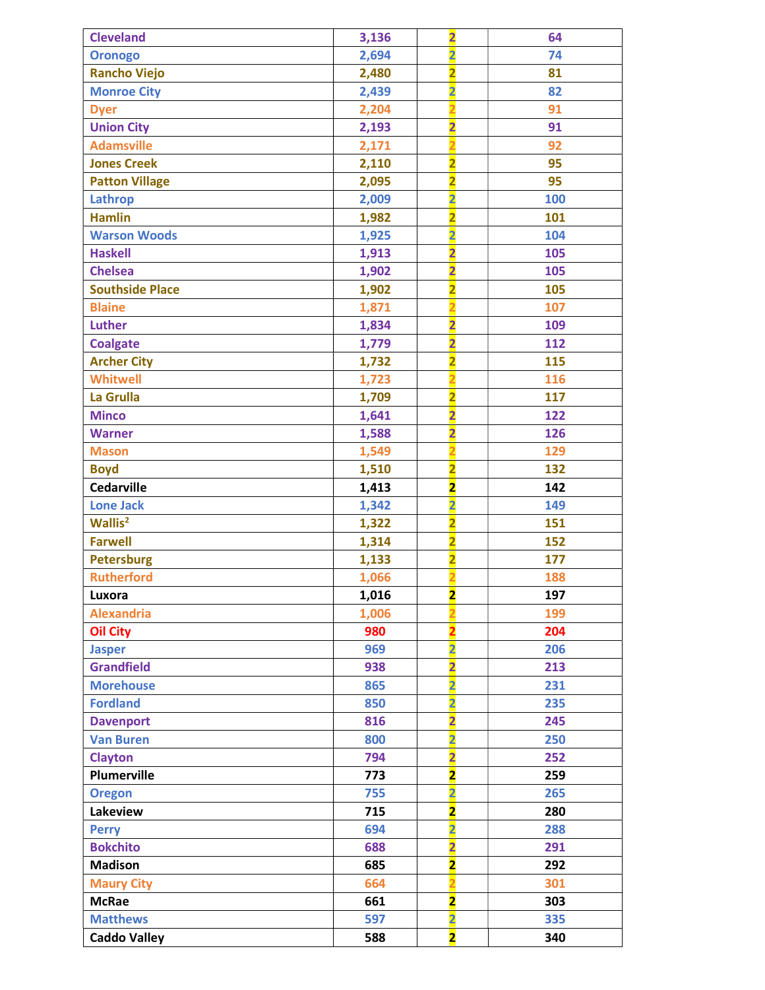| <b>Cleveland</b>       | 3,136 | $\overline{\mathbf{2}}$ | 64  |
|------------------------|-------|-------------------------|-----|
| <b>Oronogo</b>         | 2,694 | $\overline{\mathbf{2}}$ | 74  |
| <b>Rancho Viejo</b>    | 2,480 | $\overline{\mathbf{2}}$ | 81  |
| <b>Monroe City</b>     | 2,439 | $\overline{\mathbf{2}}$ | 82  |
| <b>Dyer</b>            | 2,204 | $\overline{\mathbf{2}}$ | 91  |
| <b>Union City</b>      | 2,193 | $\overline{\mathbf{2}}$ | 91  |
| <b>Adamsville</b>      | 2,171 |                         | 92  |
| <b>Jones Creek</b>     | 2,110 | $\overline{\mathbf{2}}$ | 95  |
| <b>Patton Village</b>  | 2,095 | $\overline{\mathbf{2}}$ | 95  |
| Lathrop                | 2,009 | $\overline{\mathbf{2}}$ | 100 |
| <b>Hamlin</b>          | 1,982 | $\overline{\mathbf{2}}$ | 101 |
| <b>Warson Woods</b>    | 1,925 | $\overline{\mathbf{2}}$ | 104 |
| <b>Haskell</b>         | 1,913 | $\overline{\mathbf{2}}$ | 105 |
| <b>Chelsea</b>         | 1,902 | $\overline{\mathbf{2}}$ | 105 |
| <b>Southside Place</b> | 1,902 | $\overline{\mathbf{2}}$ | 105 |
| <b>Blaine</b>          | 1,871 |                         | 107 |
| Luther                 | 1,834 | $\overline{\mathbf{2}}$ | 109 |
| <b>Coalgate</b>        | 1,779 | $\overline{\mathbf{2}}$ | 112 |
| <b>Archer City</b>     | 1,732 | $\overline{\mathbf{2}}$ | 115 |
| <b>Whitwell</b>        | 1,723 | $\overline{\mathbf{2}}$ | 116 |
| La Grulla              | 1,709 | $\overline{\mathbf{2}}$ | 117 |
| <b>Minco</b>           | 1,641 | $\overline{\mathbf{2}}$ | 122 |
| <b>Warner</b>          | 1,588 | $\overline{\mathbf{2}}$ | 126 |
| <b>Mason</b>           | 1,549 | $\overline{\mathbf{2}}$ | 129 |
| <b>Boyd</b>            | 1,510 | $\overline{\mathbf{2}}$ | 132 |
| <b>Cedarville</b>      | 1,413 | $\overline{\mathbf{2}}$ | 142 |
| <b>Lone Jack</b>       | 1,342 | $\overline{\mathbf{2}}$ | 149 |
| Wallis <sup>2</sup>    | 1,322 | $\overline{\mathbf{2}}$ | 151 |
| <b>Farwell</b>         | 1,314 | $\overline{\mathbf{2}}$ | 152 |
| <b>Petersburg</b>      | 1,133 | $\overline{\mathbf{2}}$ | 177 |
| <b>Rutherford</b>      | 1,066 |                         | 188 |
| Luxora                 | 1,016 | $\overline{\mathbf{2}}$ | 197 |
| <b>Alexandria</b>      | 1,006 |                         | 199 |
| <b>Oil City</b>        | 980   |                         | 204 |
| <b>Jasper</b>          | 969   | $\overline{\mathbf{2}}$ | 206 |
| <b>Grandfield</b>      | 938   | $\overline{\mathbf{2}}$ | 213 |
| <b>Morehouse</b>       | 865   | $\overline{\mathbf{2}}$ | 231 |
| <b>Fordland</b>        | 850   | $\overline{\mathbf{2}}$ | 235 |
| <b>Davenport</b>       | 816   | $\overline{\mathbf{2}}$ | 245 |
| <b>Van Buren</b>       | 800   | $\overline{\mathbf{2}}$ | 250 |
| <b>Clayton</b>         | 794   | $\overline{\mathbf{2}}$ | 252 |
| <b>Plumerville</b>     | 773   | $\overline{\mathbf{2}}$ | 259 |
| <b>Oregon</b>          | 755   | $\overline{\mathbf{2}}$ | 265 |
| Lakeview               | 715   | $\overline{\mathbf{2}}$ | 280 |
| <b>Perry</b>           | 694   | $\overline{\mathbf{2}}$ | 288 |
| <b>Bokchito</b>        | 688   | $\overline{\mathbf{2}}$ | 291 |
| <b>Madison</b>         | 685   | $\overline{\mathbf{2}}$ | 292 |
| <b>Maury City</b>      | 664   | 2                       | 301 |
| <b>McRae</b>           | 661   | $\overline{\mathbf{2}}$ | 303 |
| <b>Matthews</b>        | 597   | $\overline{\mathbf{2}}$ | 335 |
| <b>Caddo Valley</b>    | 588   | $\overline{\mathbf{2}}$ | 340 |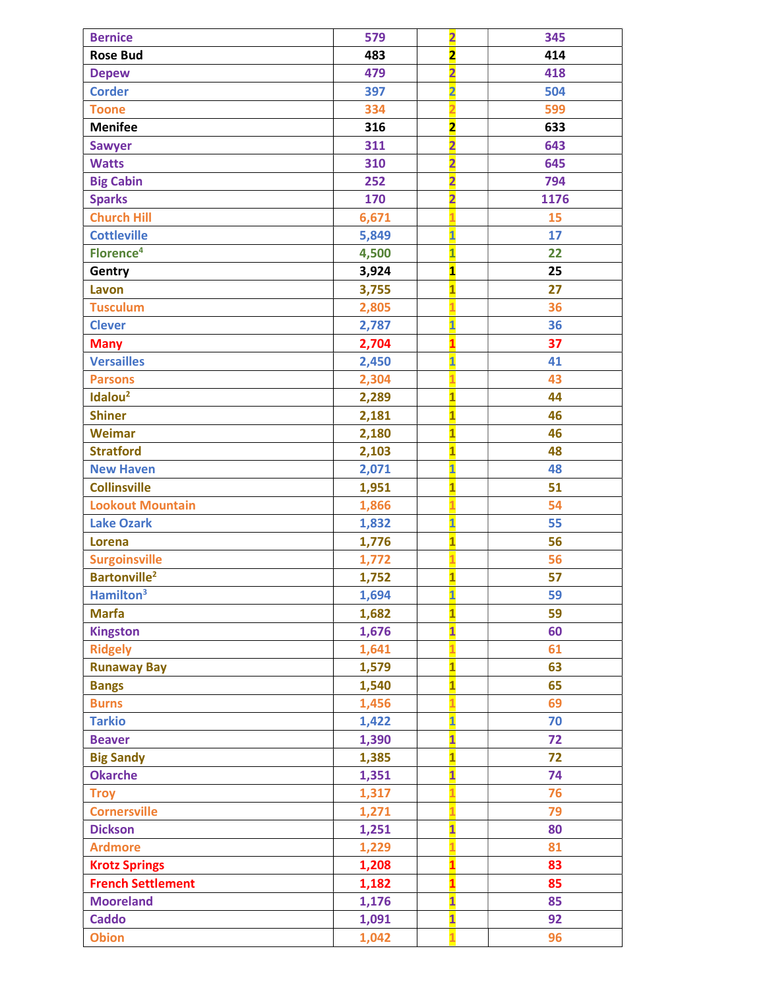| <b>Bernice</b>                 | 579   | $\overline{\mathbf{2}}$ | 345  |
|--------------------------------|-------|-------------------------|------|
| <b>Rose Bud</b>                | 483   | $\overline{\mathbf{z}}$ | 414  |
| <b>Depew</b>                   | 479   | $\overline{\mathbf{2}}$ | 418  |
| <b>Corder</b>                  | 397   | $\overline{\mathbf{2}}$ | 504  |
| <b>Toone</b>                   | 334   | $\overline{2}$          | 599  |
| <b>Menifee</b>                 | 316   | $\overline{\mathbf{2}}$ | 633  |
| <b>Sawyer</b>                  | 311   | $\overline{\mathbf{2}}$ | 643  |
| <b>Watts</b>                   | 310   | $\overline{\mathbf{2}}$ | 645  |
| <b>Big Cabin</b>               | 252   | $\overline{\mathbf{2}}$ | 794  |
| <b>Sparks</b>                  | 170   | $\overline{\mathbf{2}}$ | 1176 |
| <b>Church Hill</b>             | 6,671 | $\overline{\mathbf{1}}$ | 15   |
| <b>Cottleville</b>             | 5,849 | $\overline{\mathbf{1}}$ | 17   |
| Florence <sup>4</sup>          | 4,500 | $\mathbf{1}$            | 22   |
| Gentry                         | 3,924 | $\overline{\mathbf{1}}$ | 25   |
| Lavon                          | 3,755 | $\overline{\mathbf{1}}$ | 27   |
| <b>Tusculum</b>                | 2,805 | $\overline{\mathbf{1}}$ | 36   |
| <b>Clever</b>                  | 2,787 | $\overline{\mathbf{1}}$ | 36   |
| <b>Many</b>                    | 2,704 | $\overline{\mathbf{1}}$ | 37   |
| <b>Versailles</b>              | 2,450 | $\overline{\mathbf{1}}$ | 41   |
| <b>Parsons</b>                 | 2,304 | $\overline{\mathbf{1}}$ | 43   |
| Idalou <sup>2</sup>            | 2,289 | $\overline{\mathbf{1}}$ | 44   |
| <b>Shiner</b>                  | 2,181 | $\overline{\mathbf{1}}$ | 46   |
| Weimar                         | 2,180 | $\overline{\mathbf{1}}$ | 46   |
| <b>Stratford</b>               | 2,103 | $\overline{\mathbf{1}}$ | 48   |
| <b>New Haven</b>               | 2,071 | $\overline{\mathbf{1}}$ | 48   |
| <b>Collinsville</b>            | 1,951 | $\overline{\mathbf{1}}$ | 51   |
| <b>Lookout Mountain</b>        | 1,866 |                         | 54   |
| <b>Lake Ozark</b>              | 1,832 | $\overline{\mathbf{1}}$ | 55   |
| Lorena                         | 1,776 | $\overline{\mathbf{1}}$ | 56   |
| <b>Surgoinsville</b>           | 1,772 | $\overline{\mathbf{1}}$ | 56   |
| <b>Bartonville<sup>2</sup></b> | 1,752 | $\overline{\mathbf{1}}$ | 57   |
| Hamilton <sup>3</sup>          | 1,694 | $\mathbf{1}$            | 59   |
| <b>Marfa</b>                   | 1,682 | $\overline{\mathbf{1}}$ | 59   |
| <b>Kingston</b>                | 1,676 | $\overline{\mathbf{1}}$ | 60   |
| <b>Ridgely</b>                 | 1,641 | 1                       | 61   |
| <b>Runaway Bay</b>             | 1,579 | $\overline{\mathbf{1}}$ | 63   |
| <b>Bangs</b>                   | 1,540 | $\overline{\mathbf{1}}$ | 65   |
| <b>Burns</b>                   | 1,456 | 1                       | 69   |
| <b>Tarkio</b>                  | 1,422 | $\overline{\mathbf{1}}$ | 70   |
| <b>Beaver</b>                  | 1,390 | $\overline{\mathbf{1}}$ | 72   |
| <b>Big Sandy</b>               | 1,385 | $\overline{\mathbf{1}}$ | 72   |
| <b>Okarche</b>                 | 1,351 | $\overline{\mathbf{1}}$ | 74   |
| <b>Troy</b>                    | 1,317 |                         | 76   |
| <b>Cornersville</b>            | 1,271 |                         | 79   |
| <b>Dickson</b>                 | 1,251 | $\overline{\mathbf{1}}$ | 80   |
| <b>Ardmore</b>                 | 1,229 |                         | 81   |
| <b>Krotz Springs</b>           | 1,208 |                         | 83   |
| <b>French Settlement</b>       | 1,182 |                         | 85   |
| <b>Mooreland</b>               | 1,176 | $\overline{\mathbf{1}}$ | 85   |
| <b>Caddo</b>                   | 1,091 | $\overline{\mathbf{1}}$ | 92   |
| <b>Obion</b>                   | 1,042 |                         | 96   |
|                                |       |                         |      |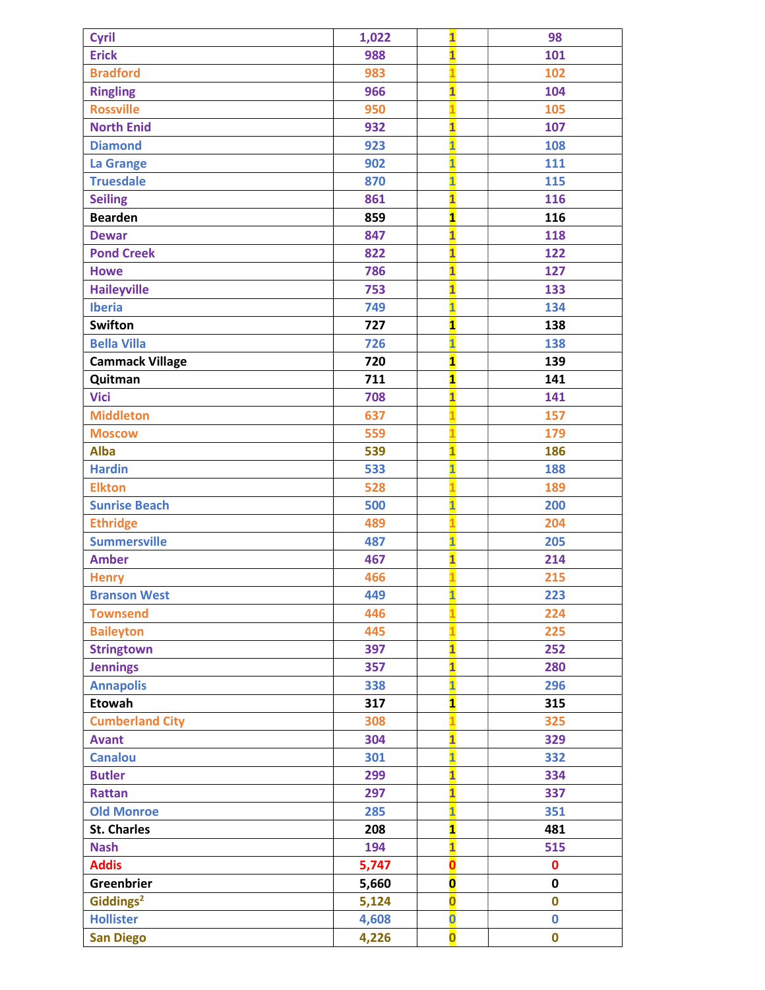| Cyril                  | 1,022 | $\overline{\mathbf{1}}$ | 98          |
|------------------------|-------|-------------------------|-------------|
| <b>Erick</b>           | 988   | $\overline{\mathbf{1}}$ | 101         |
| <b>Bradford</b>        | 983   |                         | 102         |
| <b>Ringling</b>        | 966   | $\overline{\mathbf{1}}$ | 104         |
| <b>Rossville</b>       | 950   | $\overline{\mathbf{1}}$ | 105         |
| <b>North Enid</b>      | 932   | $\overline{\mathbf{1}}$ | 107         |
| <b>Diamond</b>         | 923   | $\overline{\mathbf{1}}$ | 108         |
| <b>La Grange</b>       | 902   | $\overline{\mathbf{1}}$ | 111         |
| <b>Truesdale</b>       | 870   | $\overline{\mathbf{1}}$ | 115         |
| <b>Seiling</b>         | 861   | $\overline{\mathbf{1}}$ | 116         |
| <b>Bearden</b>         | 859   | $\overline{\mathbf{1}}$ | 116         |
| <b>Dewar</b>           | 847   | $\overline{\mathbf{1}}$ | 118         |
| <b>Pond Creek</b>      | 822   | $\overline{\mathbf{1}}$ | 122         |
| <b>Howe</b>            | 786   | $\overline{\mathbf{1}}$ | 127         |
| <b>Haileyville</b>     | 753   | $\overline{\mathbf{1}}$ | 133         |
| <b>Iberia</b>          | 749   | $\overline{\mathbf{1}}$ | 134         |
| <b>Swifton</b>         | 727   | $\overline{\mathbf{1}}$ | 138         |
| <b>Bella Villa</b>     | 726   | $\overline{\mathbf{1}}$ | 138         |
| <b>Cammack Village</b> | 720   | $\mathbf{1}$            | 139         |
| Quitman                | 711   | $\overline{\mathbf{1}}$ | 141         |
| <b>Vici</b>            | 708   | $\overline{\mathbf{1}}$ | 141         |
| <b>Middleton</b>       | 637   |                         | 157         |
| <b>Moscow</b>          | 559   |                         | 179         |
| <b>Alba</b>            | 539   | $\overline{\mathbf{1}}$ | 186         |
| <b>Hardin</b>          | 533   | $\overline{\mathbf{1}}$ | 188         |
| <b>Elkton</b>          | 528   | $\overline{1}$          | 189         |
| <b>Sunrise Beach</b>   | 500   | $\overline{\mathbf{1}}$ | 200         |
| <b>Ethridge</b>        | 489   | 1                       | 204         |
| <b>Summersville</b>    | 487   | $\overline{\mathbf{1}}$ | 205         |
| <b>Amber</b>           | 467   | $\overline{\mathbf{1}}$ | 214         |
| <b>Henry</b>           | 466   |                         | 215         |
| <b>Branson West</b>    | 449   | 1                       | 223         |
| <b>Townsend</b>        | 446   |                         | 224         |
| <b>Baileyton</b>       | 445   |                         | 225         |
| <b>Stringtown</b>      | 397   | $\overline{\mathbf{1}}$ | 252         |
| <b>Jennings</b>        | 357   | $\overline{\mathbf{1}}$ | 280         |
| <b>Annapolis</b>       | 338   | $\overline{\mathbf{1}}$ | 296         |
| <b>Etowah</b>          | 317   | $\mathbf{1}$            | 315         |
| <b>Cumberland City</b> | 308   |                         | 325         |
| <b>Avant</b>           | 304   | $\mathbf{1}$            | 329         |
| <b>Canalou</b>         | 301   | $\overline{\mathbf{1}}$ | 332         |
| <b>Butler</b>          | 299   | $\overline{\mathbf{1}}$ | 334         |
| <b>Rattan</b>          | 297   | $\overline{\mathbf{1}}$ | 337         |
| <b>Old Monroe</b>      | 285   | $\overline{\mathbf{1}}$ | 351         |
| <b>St. Charles</b>     | 208   | $\overline{\mathbf{1}}$ | 481         |
| <b>Nash</b>            | 194   | $\overline{\mathbf{1}}$ | 515         |
| <b>Addis</b>           | 5,747 | $\overline{\mathbf{o}}$ | $\mathbf 0$ |
| Greenbrier             | 5,660 | $\overline{\mathbf{0}}$ | $\mathbf 0$ |
| Giddings <sup>2</sup>  | 5,124 | $\overline{\mathbf{0}}$ | $\mathbf 0$ |
| <b>Hollister</b>       | 4,608 | $\overline{\mathbf{0}}$ | $\mathbf 0$ |
| <b>San Diego</b>       | 4,226 | $\overline{\mathbf{o}}$ | $\mathbf 0$ |
|                        |       |                         |             |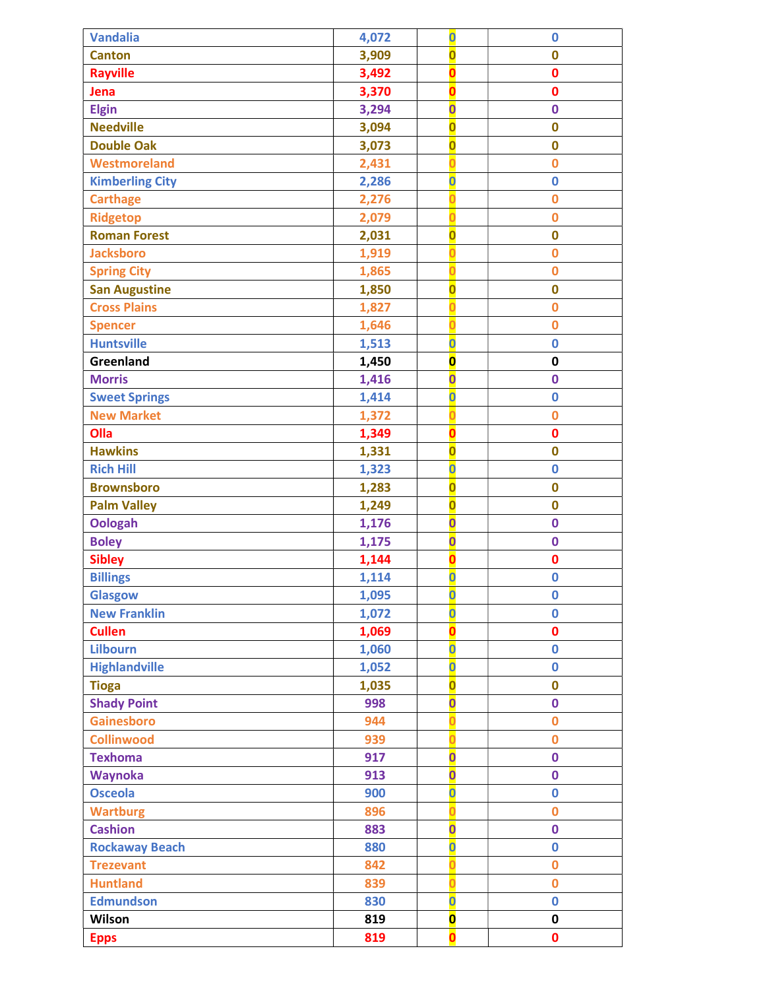| <b>Vandalia</b>        | 4,072 | $\overline{\mathbf{0}}$ | $\bf{0}$                |
|------------------------|-------|-------------------------|-------------------------|
| <b>Canton</b>          | 3,909 | $\overline{\mathbf{0}}$ | 0                       |
| <b>Rayville</b>        | 3,492 | Ō                       | $\mathbf 0$             |
| Jena                   | 3,370 |                         | $\mathbf 0$             |
| <b>Elgin</b>           | 3,294 | $\overline{\mathbf{0}}$ | $\mathbf 0$             |
| <b>Needville</b>       | 3,094 | $\overline{\mathbf{0}}$ | $\mathbf 0$             |
| <b>Double Oak</b>      | 3,073 | $\overline{\mathbf{0}}$ | 0                       |
| <b>Westmoreland</b>    | 2,431 |                         | $\mathbf 0$             |
| <b>Kimberling City</b> | 2,286 | $\overline{\mathbf{0}}$ | $\mathbf 0$             |
| <b>Carthage</b>        | 2,276 |                         | $\bf{0}$                |
| <b>Ridgetop</b>        | 2,079 |                         | $\overline{\mathbf{0}}$ |
| <b>Roman Forest</b>    | 2,031 | $\overline{\mathbf{0}}$ | 0                       |
| <b>Jacksboro</b>       | 1,919 |                         | $\mathbf 0$             |
| <b>Spring City</b>     | 1,865 |                         | $\bf{0}$                |
| <b>San Augustine</b>   | 1,850 | $\overline{\mathbf{0}}$ | $\bf{0}$                |
| <b>Cross Plains</b>    | 1,827 |                         | $\overline{\mathbf{0}}$ |
| <b>Spencer</b>         | 1,646 | Ω                       | $\mathbf 0$             |
| <b>Huntsville</b>      | 1,513 | $\overline{\mathbf{0}}$ | $\mathbf 0$             |
| Greenland              | 1,450 | $\overline{\mathbf{0}}$ | 0                       |
| <b>Morris</b>          | 1,416 | $\overline{\mathbf{0}}$ | $\mathbf 0$             |
| <b>Sweet Springs</b>   | 1,414 | $\overline{\mathbf{0}}$ | $\mathbf 0$             |
| <b>New Market</b>      | 1,372 | Ω                       | $\mathbf 0$             |
| Olla                   | 1,349 | O                       | $\mathbf 0$             |
| <b>Hawkins</b>         | 1,331 | $\overline{\mathbf{0}}$ | $\mathbf 0$             |
| <b>Rich Hill</b>       | 1,323 | $\overline{\mathbf{0}}$ | $\bf{0}$                |
| <b>Brownsboro</b>      | 1,283 | $\overline{\mathbf{0}}$ | $\mathbf 0$             |
| <b>Palm Valley</b>     | 1,249 | $\overline{\mathbf{0}}$ | 0                       |
| <b>Oologah</b>         | 1,176 | $\overline{\mathbf{0}}$ | $\mathbf 0$             |
| <b>Boley</b>           | 1,175 | $\overline{\mathbf{0}}$ | $\mathbf 0$             |
| <b>Sibley</b>          | 1,144 | O                       | 0                       |
| <b>Billings</b>        | 1,114 | $\overline{\mathbf{0}}$ | $\mathbf 0$             |
| <b>Glasgow</b>         | 1,095 | $\overline{\mathbf{0}}$ | 0                       |
| <b>New Franklin</b>    | 1,072 | $\overline{\mathbf{0}}$ | $\mathbf 0$             |
| <b>Cullen</b>          | 1,069 |                         | 0                       |
| <b>Lilbourn</b>        | 1,060 | $\overline{\mathbf{0}}$ | $\mathbf 0$             |
| <b>Highlandville</b>   | 1,052 | $\overline{\mathbf{0}}$ | $\mathbf 0$             |
| <b>Tioga</b>           | 1,035 | $\overline{\mathbf{0}}$ | $\mathbf 0$             |
| <b>Shady Point</b>     | 998   | $\overline{\mathbf{0}}$ | $\mathbf 0$             |
| Gainesboro             | 944   |                         | $\bf{0}$                |
| <b>Collinwood</b>      | 939   |                         | $\overline{\mathbf{0}}$ |
| <b>Texhoma</b>         | 917   | $\overline{\mathbf{0}}$ | $\mathbf 0$             |
| <b>Waynoka</b>         | 913   | $\overline{\mathbf{0}}$ | $\mathbf 0$             |
| <b>Osceola</b>         | 900   | $\overline{\mathbf{0}}$ | $\mathbf 0$             |
| <b>Wartburg</b>        | 896   |                         | $\overline{\mathbf{0}}$ |
| <b>Cashion</b>         | 883   | $\overline{\mathbf{0}}$ | $\mathbf 0$             |
| <b>Rockaway Beach</b>  | 880   | $\overline{\textbf{0}}$ | $\mathbf 0$             |
| <b>Trezevant</b>       | 842   | Ω                       | $\mathbf 0$             |
| <b>Huntland</b>        | 839   | Ō                       | $\mathbf 0$             |
| <b>Edmundson</b>       | 830   | $\overline{\mathbf{0}}$ | $\mathbf 0$             |
| Wilson                 | 819   | $\overline{\mathbf{0}}$ | 0                       |
| <b>Epps</b>            | 819   | ŋ                       | 0                       |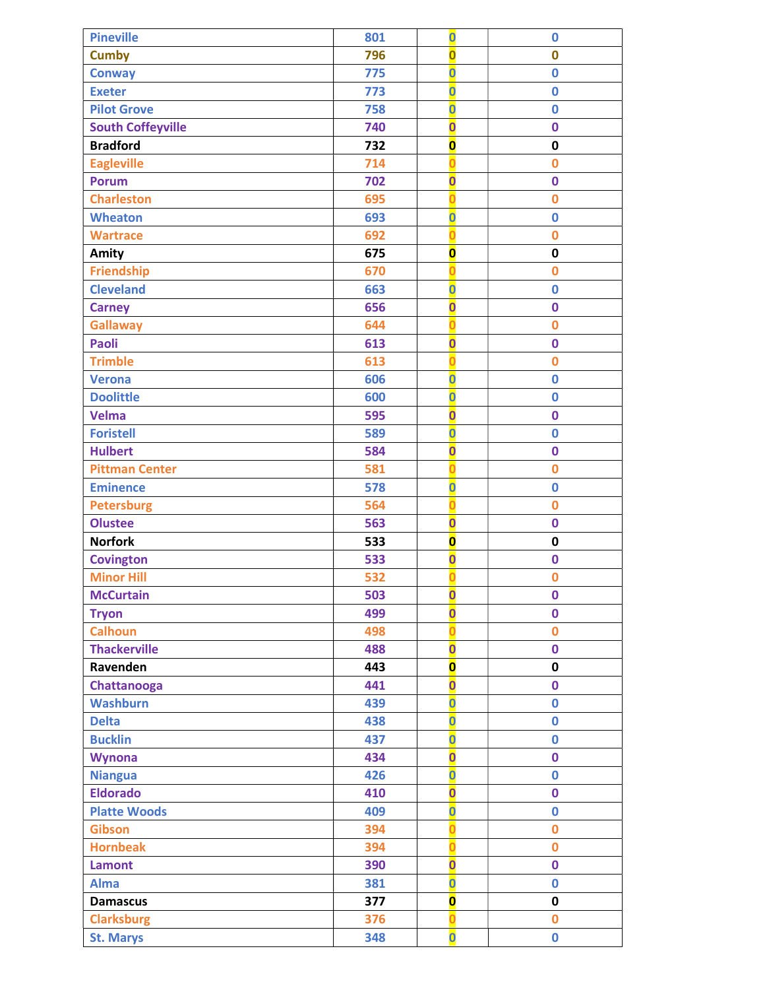| <b>Pineville</b>         | 801 | $\overline{\mathbf{O}}$ | $\bf{0}$                |
|--------------------------|-----|-------------------------|-------------------------|
| <b>Cumby</b>             | 796 | $\overline{\mathbf{0}}$ | $\mathbf 0$             |
| <b>Conway</b>            | 775 | $\overline{\mathbf{0}}$ | $\mathbf 0$             |
| <b>Exeter</b>            | 773 | $\overline{\mathbf{0}}$ | $\mathbf 0$             |
| <b>Pilot Grove</b>       | 758 | $\overline{\mathbf{0}}$ | $\overline{0}$          |
| <b>South Coffeyville</b> | 740 | $\overline{\mathbf{0}}$ | $\mathbf 0$             |
| <b>Bradford</b>          | 732 | $\overline{\mathbf{o}}$ | $\mathbf 0$             |
| <b>Eagleville</b>        | 714 |                         | $\overline{0}$          |
| <b>Porum</b>             | 702 | $\overline{\mathbf{0}}$ | $\mathbf 0$             |
| <b>Charleston</b>        | 695 | n                       | $\overline{0}$          |
| <b>Wheaton</b>           | 693 | $\overline{\mathbf{0}}$ | $\mathbf 0$             |
| <b>Wartrace</b>          | 692 | Ō                       | $\bf{0}$                |
| Amity                    | 675 | $\overline{\mathbf{0}}$ | $\pmb{0}$               |
| <b>Friendship</b>        | 670 |                         | $\bf{0}$                |
| <b>Cleveland</b>         | 663 | $\overline{\mathbf{0}}$ | $\mathbf 0$             |
| <b>Carney</b>            | 656 | $\overline{\textbf{0}}$ | $\mathbf 0$             |
| <b>Gallaway</b>          | 644 | Ō                       | $\bf{0}$                |
| <b>Paoli</b>             | 613 | $\overline{\mathbf{0}}$ | $\mathbf 0$             |
| <b>Trimble</b>           | 613 |                         | $\overline{0}$          |
| <b>Verona</b>            | 606 | $\overline{\mathbf{0}}$ | $\mathbf 0$             |
| <b>Doolittle</b>         | 600 | $\overline{\mathbf{0}}$ | $\mathbf 0$             |
| <b>Velma</b>             | 595 | $\overline{\mathbf{0}}$ | $\mathbf 0$             |
| <b>Foristell</b>         | 589 | $\overline{\mathbf{0}}$ | $\mathbf 0$             |
| <b>Hulbert</b>           | 584 | $\overline{\mathbf{0}}$ | $\mathbf 0$             |
| <b>Pittman Center</b>    | 581 | n                       | $\overline{0}$          |
| <b>Eminence</b>          | 578 | $\overline{\mathbf{0}}$ | $\mathbf 0$             |
| <b>Petersburg</b>        | 564 | 0                       | $\bf{0}$                |
| <b>Olustee</b>           | 563 | $\overline{\mathbf{0}}$ | $\mathbf 0$             |
| <b>Norfork</b>           | 533 | $\overline{\mathbf{0}}$ | $\mathbf 0$             |
| <b>Covington</b>         | 533 | $\overline{\textbf{0}}$ | $\bf{0}$                |
| <b>Minor Hill</b>        | 532 | n                       | $\mathbf 0$             |
| <b>McCurtain</b>         | 503 | $\overline{\mathbf{0}}$ | $\mathbf 0$             |
| <b>Tryon</b>             | 499 | $\overline{\mathbf{0}}$ | $\mathbf 0$             |
| <b>Calhoun</b>           | 498 |                         | $\mathbf 0$             |
| <b>Thackerville</b>      | 488 | $\overline{\mathbf{0}}$ | $\mathbf 0$             |
| Ravenden                 | 443 | $\overline{\mathbf{0}}$ | $\mathbf 0$             |
| Chattanooga              | 441 | $\overline{\mathbf{0}}$ | $\mathbf 0$             |
| <b>Washburn</b>          | 439 | $\overline{\textbf{0}}$ | $\mathbf 0$             |
| <b>Delta</b>             | 438 | $\overline{\mathbf{0}}$ | $\mathbf 0$             |
| <b>Bucklin</b>           | 437 | $\overline{\mathbf{0}}$ | $\bf{0}$                |
| <b>Wynona</b>            | 434 | $\overline{\mathbf{0}}$ | $\mathbf 0$             |
| <b>Niangua</b>           | 426 | $\overline{\mathbf{0}}$ | $\mathbf 0$             |
| <b>Eldorado</b>          | 410 | $\overline{\textbf{0}}$ | $\mathbf 0$             |
| <b>Platte Woods</b>      | 409 | $\overline{\mathbf{0}}$ | $\mathbf 0$             |
| <b>Gibson</b>            | 394 | n                       | $\overline{\mathbf{0}}$ |
| <b>Hornbeak</b>          | 394 | n                       | $\overline{0}$          |
| <b>Lamont</b>            | 390 | $\overline{\mathbf{0}}$ | $\mathbf 0$             |
| <b>Alma</b>              | 381 | $\overline{\mathbf{0}}$ | $\mathbf 0$             |
| <b>Damascus</b>          | 377 | $\overline{\mathbf{0}}$ | $\pmb{0}$               |
| <b>Clarksburg</b>        | 376 | n                       | $\mathbf 0$             |
| <b>St. Marys</b>         | 348 | $\overline{\mathbf{0}}$ | $\mathbf 0$             |
|                          |     |                         |                         |